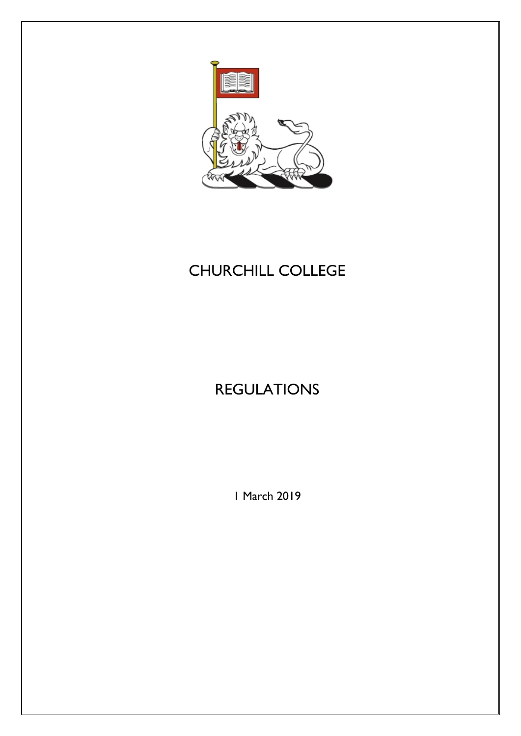

# CHURCHILL COLLEGE

# REGULATIONS

1 March 2019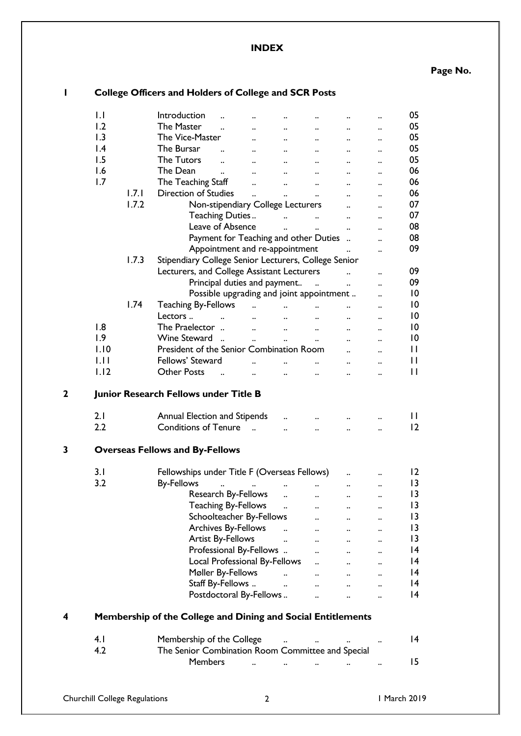**INDEX**

**Page No.**

|             |                  |                                        | Conege Onicers and Florders or Conege and SCR Fosts                 |                                                                                                                     |                               |                                     |                      |                      |                 |
|-------------|------------------|----------------------------------------|---------------------------------------------------------------------|---------------------------------------------------------------------------------------------------------------------|-------------------------------|-------------------------------------|----------------------|----------------------|-----------------|
|             | $\mathsf{L}$     |                                        | Introduction                                                        |                                                                                                                     |                               |                                     |                      |                      | 05              |
|             | 1.2              |                                        | The Master<br>$\ddotsc$                                             | $\ddotsc$                                                                                                           | $\ddotsc$                     | $\ldots$                            |                      | $\ddot{\phantom{0}}$ | 05              |
|             | 1.3              |                                        | The Vice-Master                                                     | $\ddotsc$                                                                                                           | $\ddotsc$                     |                                     |                      |                      | 05              |
|             | $\mathsf{I}$ .4  |                                        | The Bursar                                                          | $\ddotsc$                                                                                                           | $\sim 100$ km s $^{-1}$       | $\ddotsc$                           |                      |                      | 05              |
|             | 1.5              |                                        | The Tutors                                                          | $\mathbf{u} = \mathbf{u}$                                                                                           | $\cdots$                      | $\ddotsc$                           |                      |                      | 05              |
|             | 1.6              |                                        | The Dean<br>$\ddotsc$                                               | $\cdot$                                                                                                             | $\sim$ $\sim$                 | $\ddots$                            |                      |                      | 06              |
|             | 1.7              |                                        | The Teaching Staff                                                  | $\ddot{\phantom{0}}$                                                                                                |                               |                                     |                      |                      | 06              |
|             |                  | 1.7.1                                  | <b>Direction of Studies</b>                                         | $\cdot$                                                                                                             | $\sim$ $\sim$ $\sim$          | $\ddots$                            |                      |                      | 06              |
|             |                  | 1.7.2                                  |                                                                     | Non-stipendiary College Lecturers                                                                                   | $\ddotsc$                     | $\ddots$                            |                      |                      | 07              |
|             |                  |                                        | Teaching Duties                                                     |                                                                                                                     |                               |                                     |                      |                      | 07              |
|             |                  |                                        | Leave of Absence                                                    |                                                                                                                     |                               | and the contract of the contract of | $\ddotsc$            |                      | 08              |
|             |                  |                                        |                                                                     |                                                                                                                     |                               | $\ldots$ $\ldots$                   | $\ddotsc$            |                      | 08              |
|             |                  |                                        |                                                                     | Payment for Teaching and other Duties                                                                               |                               |                                     |                      |                      | 09              |
|             |                  | 1.7.3                                  |                                                                     | Appointment and re-appointment                                                                                      |                               |                                     | $\ddotsc$            |                      |                 |
|             |                  |                                        | Stipendiary College Senior Lecturers, College Senior                |                                                                                                                     |                               |                                     |                      |                      | 09              |
|             |                  |                                        | Lecturers, and College Assistant Lecturers                          |                                                                                                                     |                               |                                     |                      | $\ddot{\phantom{0}}$ |                 |
|             |                  |                                        |                                                                     | Principal duties and payment                                                                                        |                               |                                     | $\ddotsc$            | $\ddot{\phantom{a}}$ | 09              |
|             |                  |                                        |                                                                     | Possible upgrading and joint appointment                                                                            |                               |                                     |                      |                      | 0               |
|             |                  | 1.74                                   | Teaching By-Fellows                                                 | $\mathbf{a}$ and $\mathbf{a}$                                                                                       | $\mathbf{a}$ and $\mathbf{a}$ | $\ddot{\phantom{a}}$                |                      |                      | $\overline{10}$ |
|             |                  |                                        | Lectors                                                             | and the contract of the contract of the contract of the contract of the contract of the contract of the contract of |                               |                                     |                      |                      | $\overline{10}$ |
|             | 1.8              |                                        | The Praelector                                                      |                                                                                                                     |                               |                                     | $\cdots$             |                      | 0               |
|             | $\overline{1.9}$ |                                        | Wine Steward                                                        | $\ddotsc$                                                                                                           | $\ddot{\phantom{0}}$          | $\ddotsc$                           | $\ddotsc$            |                      | $\overline{10}$ |
|             | 1.10             |                                        | President of the Senior Combination Room                            |                                                                                                                     |                               |                                     |                      |                      | $\mathbf{I}$    |
|             | 1.11             |                                        | Fellows' Steward                                                    |                                                                                                                     | $\ddotsc$                     |                                     |                      |                      | $\mathbf{I}$    |
|             | 1.12             |                                        | <b>Other Posts</b>                                                  | $\ddot{\phantom{a}}$                                                                                                | $\ddotsc$                     | $\ddot{\phantom{a}}$                |                      |                      | $\mathbf{I}$    |
| $\mathbf 2$ |                  |                                        | Junior Research Fellows under Title B                               |                                                                                                                     |                               |                                     |                      |                      |                 |
|             | 2.1              |                                        | Annual Election and Stipends                                        |                                                                                                                     |                               |                                     |                      |                      | $\mathsf{I}$    |
|             | 2.2              |                                        | Conditions of Tenure                                                |                                                                                                                     | $\ddot{\phantom{a}}$          |                                     |                      |                      | 2               |
|             |                  |                                        |                                                                     |                                                                                                                     |                               |                                     |                      |                      |                 |
| 3           |                  | <b>Overseas Fellows and By-Fellows</b> |                                                                     |                                                                                                                     |                               |                                     |                      |                      |                 |
|             | 3.1              |                                        | Fellowships under Title F (Overseas Fellows)                        |                                                                                                                     |                               |                                     |                      |                      | 2               |
|             | 3.2              |                                        | <b>By-Fellows</b>                                                   |                                                                                                                     |                               |                                     |                      |                      | 3               |
|             |                  |                                        |                                                                     | Research By-Fellows                                                                                                 |                               |                                     |                      |                      | $\overline{1}$  |
|             |                  |                                        |                                                                     | <b>Teaching By-Fellows</b>                                                                                          |                               | $\ddot{\phantom{a}}$                |                      |                      | 3               |
|             |                  |                                        |                                                                     | Schoolteacher By-Fellows                                                                                            |                               | $\ddot{\phantom{a}}$                | $\ddot{\phantom{a}}$ |                      | 3               |
|             |                  |                                        |                                                                     | Archives By-Fellows                                                                                                 | $\ddot{\phantom{a}}$          |                                     |                      |                      | 3               |
|             |                  |                                        | <b>Artist By-Fellows</b>                                            |                                                                                                                     | $\ddot{\phantom{a}}$          | $\ddot{\phantom{a}}$                |                      |                      | $\overline{1}$  |
|             |                  |                                        |                                                                     | Professional By-Fellows                                                                                             |                               |                                     |                      |                      | 4               |
|             |                  |                                        |                                                                     | Local Professional By-Fellows                                                                                       |                               | $\ddot{\phantom{a}}$                |                      |                      | 4               |
|             |                  |                                        | Møller By-Fellows                                                   |                                                                                                                     | $\ddot{\phantom{a}}$          | $\ddotsc$                           | $\ddot{\phantom{0}}$ |                      | 4               |
|             |                  |                                        | Staff By-Fellows                                                    |                                                                                                                     | $\ddot{\phantom{a}}$          | $\ddot{\phantom{a}}$                |                      |                      | 4               |
|             |                  |                                        |                                                                     | Postdoctoral By-Fellows                                                                                             |                               |                                     |                      |                      | 4               |
| 4           |                  |                                        | Membership of the College and Dining and Social Entitlements        |                                                                                                                     |                               |                                     |                      |                      |                 |
|             |                  |                                        |                                                                     |                                                                                                                     |                               |                                     |                      |                      |                 |
|             | 4.1              |                                        | Membership of the College                                           |                                                                                                                     |                               |                                     |                      |                      | 4               |
|             | 4.2              |                                        | The Senior Combination Room Committee and Special<br><b>Members</b> |                                                                                                                     |                               |                                     |                      |                      | 15              |
|             |                  |                                        |                                                                     |                                                                                                                     |                               |                                     |                      |                      |                 |
|             |                  |                                        |                                                                     |                                                                                                                     |                               |                                     |                      |                      |                 |

# **1 College Officers and Holders of College and SCR Posts**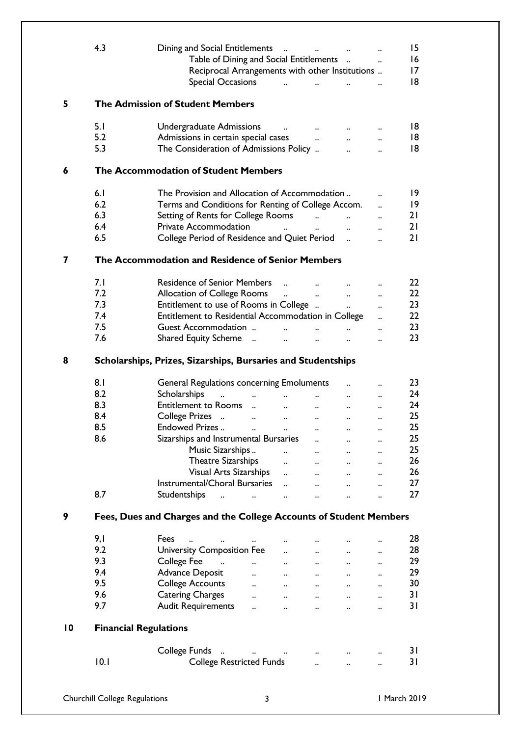|                 | 4.3                                           | Dining and Social Entitlements<br>Table of Dining and Social Entitlements<br>Reciprocal Arrangements with other Institutions<br><b>Special Occasions</b>                                                                                                                                                                                                                                                                                                                                                                                                                                                    | $\ddotsc$                                                                                                                                          |                                                                                                                                                       | $\dddot{\phantom{0}}$                                                                                                                                                                | 15<br>16<br>17<br>18                                           |
|-----------------|-----------------------------------------------|-------------------------------------------------------------------------------------------------------------------------------------------------------------------------------------------------------------------------------------------------------------------------------------------------------------------------------------------------------------------------------------------------------------------------------------------------------------------------------------------------------------------------------------------------------------------------------------------------------------|----------------------------------------------------------------------------------------------------------------------------------------------------|-------------------------------------------------------------------------------------------------------------------------------------------------------|--------------------------------------------------------------------------------------------------------------------------------------------------------------------------------------|----------------------------------------------------------------|
| 5               |                                               | <b>The Admission of Student Members</b>                                                                                                                                                                                                                                                                                                                                                                                                                                                                                                                                                                     |                                                                                                                                                    |                                                                                                                                                       |                                                                                                                                                                                      |                                                                |
|                 | 5.1<br>5.2<br>5.3                             | Undergraduate Admissions<br>$\mathbf{u}$ and $\mathbf{u}$<br>Admissions in certain special cases<br>The Consideration of Admissions Policy                                                                                                                                                                                                                                                                                                                                                                                                                                                                  | $\mathbf{a}$ and $\mathbf{a}$<br>$\ddot{\phantom{0}}$                                                                                              | $\cdot$ .<br>$\ddotsc$                                                                                                                                | $\ddot{\phantom{a}}$<br>$\dddot{\phantom{0}}$                                                                                                                                        | 18<br>18<br>18                                                 |
| 6               |                                               | The Accommodation of Student Members                                                                                                                                                                                                                                                                                                                                                                                                                                                                                                                                                                        |                                                                                                                                                    |                                                                                                                                                       |                                                                                                                                                                                      |                                                                |
| 7               | 6.1<br>6.2<br>6.3<br>6.4<br>6.5               | The Provision and Allocation of Accommodation<br>Terms and Conditions for Renting of College Accom.<br>Setting of Rents for College Rooms<br>Private Accommodation<br>$\mathbf{r}$ and $\mathbf{r}$ and $\mathbf{r}$<br>College Period of Residence and Quiet Period<br>The Accommodation and Residence of Senior Members                                                                                                                                                                                                                                                                                   | $\ddot{\phantom{a}}$                                                                                                                               | $\mathbf{a}$<br>$\ddotsc$<br>$\ddot{\phantom{a}}$                                                                                                     | $\ddot{\phantom{a}}$<br>$\ddot{\phantom{a}}$<br>$\ddot{\phantom{a}}$<br>$\ddot{\phantom{a}}$<br>$\ddotsc$                                                                            | 9<br> 9<br>21<br>21<br>21                                      |
|                 | 7.1<br>7.2<br>7.3<br>7.4<br>7.5<br>7.6        | <b>Residence of Senior Members</b><br>$\dddot{\phantom{0}}$<br>Allocation of College Rooms<br>Entitlement to use of Rooms in College<br>Entitlement to Residential Accommodation in College<br>Guest Accommodation<br>Shared Equity Scheme<br>$\ddot{\phantom{a}}$                                                                                                                                                                                                                                                                                                                                          | $\mathbf{u}^{\mathrm{max}}$ and $\mathbf{u}^{\mathrm{max}}$<br>$\mathbf{a}$<br>$\ddot{\phantom{a}}$<br>$\mathbf{a}$ and $\mathbf{b}$               | $\ddot{\phantom{a}}$<br>$\ddot{\phantom{a}}$<br>$\ddot{\phantom{a}}$                                                                                  | $\ddot{\phantom{a}}$<br>$\ddot{\phantom{a}}$<br>$\ddot{\phantom{a}}$<br>$\ddot{\phantom{a}}$<br>$\ddot{\phantom{a}}$                                                                 | 22<br>22<br>23<br>22<br>23<br>23                               |
| 8               |                                               | Scholarships, Prizes, Sizarships, Bursaries and Studentships                                                                                                                                                                                                                                                                                                                                                                                                                                                                                                                                                |                                                                                                                                                    |                                                                                                                                                       |                                                                                                                                                                                      |                                                                |
|                 | 8.1<br>8.2<br>8.3<br>8.4<br>8.5<br>8.6<br>8.7 | <b>General Regulations concerning Emoluments</b><br>Scholarships<br>$\mathcal{L}^{\mathcal{A}}(\mathbf{a},\mathbf{b})$ and $\mathcal{L}^{\mathcal{A}}(\mathbf{a},\mathbf{b})$ . In the contract of<br>Entitlement to Rooms<br>$\cdots$<br>College Prizes<br>$\sim$ $\sim$<br>Endowed Prizes<br>$\sim 10^{11}$ km s $^{-1}$<br>Sizarships and Instrumental Bursaries<br>Music Sizarships<br>$\ddot{\phantom{a}}$<br>Theatre Sizarships<br>Visual Arts Sizarships<br><b>Instrumental/Choral Bursaries</b><br>$\ddot{\phantom{a}}$<br>Studentships<br>$\mathbf{r}$ . The contract of $\mathbf{r}$<br>$\ddotsc$ | $\cdots$<br>$\ddotsc$<br>$\ddotsc$<br>$\ddotsc$<br>$\cdots$<br>$\ddotsc$<br>$\cdot$ .<br>$\ddotsc$<br>$\ddot{\phantom{a}}$<br>$\ddot{\phantom{a}}$ | $\cdots$<br>$\ddotsc$<br>$\ddotsc$<br>$\ddotsc$<br><br>$\ddotsc$<br>$\ddot{\phantom{0}}$<br>$\ddotsc$<br>$\ddot{\phantom{a}}$<br>$\ddot{\phantom{a}}$ | $\ddot{\phantom{a}}$<br>$\ddot{\phantom{a}}$<br>$\ddot{\phantom{a}}$<br><br>$\ldots$<br>$\ddot{\phantom{a}}$<br>$\ddot{\phantom{a}}$<br>$\ddot{\phantom{a}}$<br>$\ddot{\phantom{a}}$ | 23<br>24<br>24<br>25<br>25<br>25<br>25<br>26<br>26<br>27<br>27 |
| 9               |                                               | Fees, Dues and Charges and the College Accounts of Student Members                                                                                                                                                                                                                                                                                                                                                                                                                                                                                                                                          |                                                                                                                                                    |                                                                                                                                                       |                                                                                                                                                                                      |                                                                |
|                 | 9,1<br>9.2<br>9.3<br>9.4<br>9.5<br>9.6<br>9.7 | Fees<br>$\ddotsc$<br>$\cdot$<br><b>University Composition Fee</b><br>College Fee<br>$\mathbf{r}$ . The state $\mathbf{r}$<br>$\mathbf{a}$ and $\mathbf{a}$ and $\mathbf{a}$<br>Advance Deposit<br>$\ddot{\phantom{a}}$<br>$\sim$ $\sim$<br><b>College Accounts</b><br>$\cdot$ .<br>$\ddotsc$<br><b>Catering Charges</b><br>$\cdot$<br>$\ddotsc$<br><b>Audit Requirements</b><br>$\ddot{\phantom{a}}$<br>$\ddot{\phantom{a}}$                                                                                                                                                                                | $\cdots$<br>$\ddot{\phantom{a}}$<br>$\cdots$<br>$\ddotsc$<br>$\ddotsc$<br>$\ddot{\phantom{a}}$<br>$\ddot{\phantom{a}}$                             | $\ddot{\phantom{a}}$<br>$\ddotsc$<br>$\ddotsc$<br>$\ddotsc$<br>$\ddot{\phantom{a}}$                                                                   | $\ddot{\phantom{a}}$<br>$\ddot{\phantom{a}}$<br>$\ddot{\phantom{a}}$<br>$\ddot{\phantom{a}}$<br>$\ddot{\phantom{a}}$                                                                 | 28<br>28<br>29<br>29<br>30<br>31<br>31                         |
| $\overline{10}$ | <b>Financial Regulations</b><br>10.1          | College Funds<br><b>College Restricted Funds</b>                                                                                                                                                                                                                                                                                                                                                                                                                                                                                                                                                            | $\sim$ $\sim$<br>$\ddotsc$                                                                                                                         | $\ddot{\phantom{a}}$                                                                                                                                  |                                                                                                                                                                                      | 31<br>31                                                       |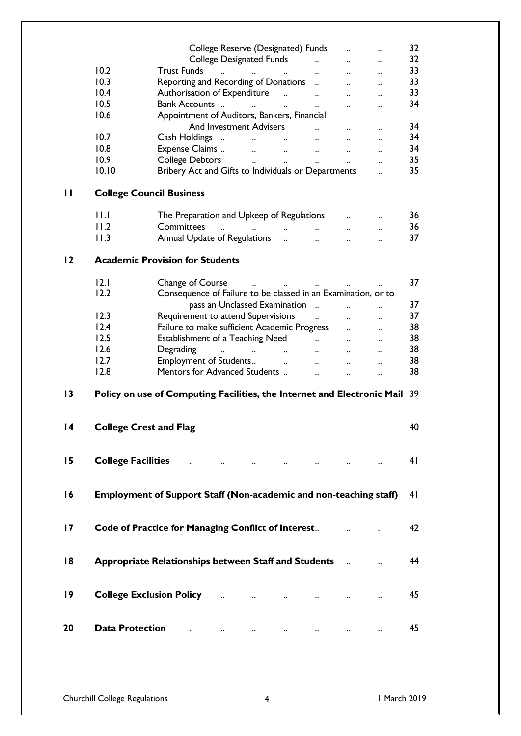|                 |                           | College Reserve (Designated) Funds                                                                                           |                                   | $\ddot{\phantom{0}}$                         | 32             |
|-----------------|---------------------------|------------------------------------------------------------------------------------------------------------------------------|-----------------------------------|----------------------------------------------|----------------|
|                 |                           | <b>College Designated Funds</b>                                                                                              | $\mathbf{a}$<br>$\ddots$          | $\ddot{\phantom{a}}$                         | 32             |
|                 | 10.2                      | <b>Trust Funds</b><br>المستحدث المستحدث المستحدث المستحدث                                                                    |                                   | $\ddot{\phantom{a}}$                         | 33             |
|                 | 10.3                      | Reporting and Recording of Donations                                                                                         | $\ddotsc$                         |                                              | 33             |
|                 | 10.4                      | Authorisation of Expenditure                                                                                                 | $\ddotsc$                         | $\ddot{\phantom{a}}$                         | 33             |
|                 | 10.5                      | Bank Accounts  and<br>$\cdot$<br>$\ddot{\phantom{0}}$                                                                        | $\ddotsc$                         | $\ddot{\phantom{a}}$                         | 34             |
|                 | 10.6                      | Appointment of Auditors, Bankers, Financial                                                                                  |                                   |                                              |                |
|                 |                           | <b>And Investment Advisers</b>                                                                                               |                                   |                                              | 34             |
|                 | 10.7                      | Cash Holdings                                                                                                                | $\cdots$                          | $\ddotsc$                                    | 34             |
|                 | 10.8                      | $\ddotsc$<br>Expense Claims  and  and  and                                                                                   |                                   | $\ddot{\phantom{a}}$                         | 34             |
|                 | 10.9                      |                                                                                                                              |                                   | $\ddot{\phantom{a}}$                         | 35             |
|                 | 10.10                     | Bribery Act and Gifts to Individuals or Departments                                                                          |                                   | $\ddot{\phantom{a}}$                         | 35             |
|                 |                           |                                                                                                                              |                                   |                                              |                |
| $\mathbf{H}$    |                           | <b>College Council Business</b>                                                                                              |                                   |                                              |                |
|                 | $  \cdot  $               | The Preparation and Upkeep of Regulations                                                                                    | $\cdot$ .                         |                                              | 36             |
|                 | 11.2                      | Committees<br>$\mathbf{a}^{(i)}$ and $\mathbf{a}^{(i)}$ are also the contributions of the contribution of $\mathbf{a}^{(i)}$ |                                   | $\ddot{\phantom{a}}$                         | 36             |
|                 | 11.3                      | Annual Update of Regulations                                                                                                 |                                   | $\ddot{\phantom{a}}$                         | 37             |
|                 |                           |                                                                                                                              |                                   | $\ddot{\phantom{a}}$                         |                |
| $\overline{2}$  |                           | <b>Academic Provision for Students</b>                                                                                       |                                   |                                              |                |
|                 | $ 2.1\rangle$             | Change of Course The Manuscript Assembly Report Assembly                                                                     |                                   |                                              | 37             |
|                 | 12.2                      | Consequence of Failure to be classed in an Examination, or to                                                                | $\ddots$                          |                                              |                |
|                 |                           | pass an Unclassed Examination                                                                                                |                                   |                                              | 37             |
|                 | 12.3                      | Requirement to attend Supervisions                                                                                           | $\sim 10^{11}$ and $\sim 10^{11}$ | $\ddot{\phantom{a}}$                         | 37             |
|                 | 12.4                      | Failure to make sufficient Academic Progress                                                                                 | $\ddotsc$                         | $\ddotsc$                                    | 38             |
|                 | 12.5                      | Establishment of a Teaching Need and was also well as the set of a Teaching Need and was also well as the set o              |                                   | $\ddotsc$                                    | 38             |
|                 | 12.6                      | Degrading<br>والمستنبذ والمستنب والمستنب والمستنبذ والمستنب                                                                  |                                   | $\ddot{\phantom{a}}$                         | 38             |
|                 | 12.7                      |                                                                                                                              |                                   | $\ddot{\phantom{a}}$                         | 38             |
|                 | 12.8                      | Mentors for Advanced Students<br>$\mathbf{r}$ . The state $\mathbf{r}$                                                       | $\ddot{\phantom{a}}$              | $\ddot{\phantom{a}}$<br>$\ddot{\phantom{a}}$ | 38             |
|                 |                           |                                                                                                                              |                                   |                                              |                |
| $\overline{13}$ |                           | Policy on use of Computing Facilities, the Internet and Electronic Mail 39                                                   |                                   |                                              |                |
|                 |                           |                                                                                                                              |                                   |                                              |                |
| 4               |                           | <b>College Crest and Flag</b>                                                                                                |                                   |                                              | 40             |
|                 |                           |                                                                                                                              |                                   |                                              |                |
| 15              | <b>College Facilities</b> | $\cdots$<br>$\cdots$<br>$\sim$ $\sim$ $\sim$<br>$\sim$ $\sim$                                                                |                                   |                                              | 4 <sub>1</sub> |
|                 |                           |                                                                                                                              |                                   |                                              |                |
| 16              |                           | Employment of Support Staff (Non-academic and non-teaching staff)                                                            |                                   |                                              | 4 <sub>l</sub> |
|                 |                           |                                                                                                                              |                                   |                                              |                |
|                 |                           |                                                                                                                              |                                   |                                              |                |
| $\overline{17}$ |                           | <b>Code of Practice for Managing Conflict of Interest</b>                                                                    |                                   |                                              | 42             |
|                 |                           |                                                                                                                              |                                   |                                              |                |
|                 |                           |                                                                                                                              |                                   |                                              |                |
| 18              |                           | Appropriate Relationships between Staff and Students                                                                         |                                   |                                              | 44             |
|                 |                           |                                                                                                                              |                                   |                                              |                |
|                 |                           |                                                                                                                              |                                   |                                              |                |
| 19              |                           | <b>College Exclusion Policy Action 2018</b>                                                                                  |                                   |                                              | 45             |
|                 |                           |                                                                                                                              |                                   |                                              |                |
|                 |                           |                                                                                                                              |                                   |                                              |                |
| 20              | <b>Data Protection</b>    |                                                                                                                              |                                   |                                              | 45             |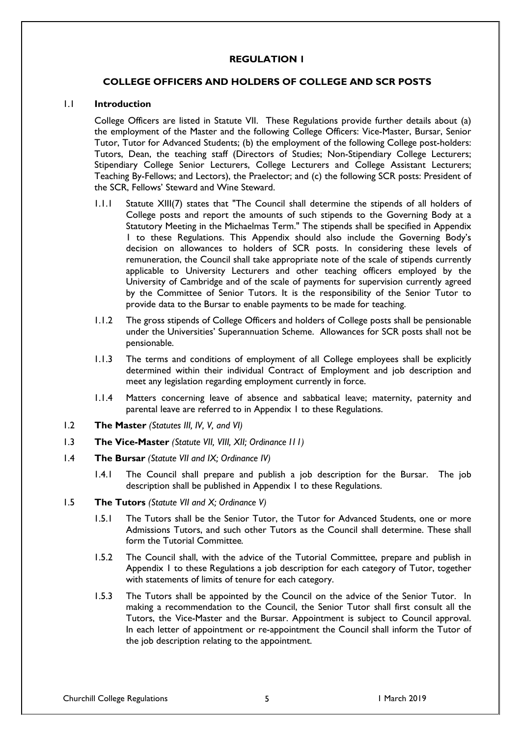# **REGULATION 1**

## **COLLEGE OFFICERS AND HOLDERS OF COLLEGE AND SCR POSTS**

#### 1.1 **Introduction**

College Officers are listed in Statute VII. These Regulations provide further details about (a) the employment of the Master and the following College Officers: Vice-Master, Bursar, Senior Tutor, Tutor for Advanced Students; (b) the employment of the following College post-holders: Tutors, Dean, the teaching staff (Directors of Studies; Non-Stipendiary College Lecturers; Stipendiary College Senior Lecturers, College Lecturers and College Assistant Lecturers; Teaching By-Fellows; and Lectors), the Praelector; and (c) the following SCR posts: President of the SCR, Fellows' Steward and Wine Steward.

- 1.1.1 Statute XIII(7) states that "The Council shall determine the stipends of all holders of College posts and report the amounts of such stipends to the Governing Body at a Statutory Meeting in the Michaelmas Term." The stipends shall be specified in Appendix 1 to these Regulations. This Appendix should also include the Governing Body's decision on allowances to holders of SCR posts. In considering these levels of remuneration, the Council shall take appropriate note of the scale of stipends currently applicable to University Lecturers and other teaching officers employed by the University of Cambridge and of the scale of payments for supervision currently agreed by the Committee of Senior Tutors. It is the responsibility of the Senior Tutor to provide data to the Bursar to enable payments to be made for teaching.
- 1.1.2 The gross stipends of College Officers and holders of College posts shall be pensionable under the Universities' Superannuation Scheme. Allowances for SCR posts shall not be pensionable.
- 1.1.3 The terms and conditions of employment of all College employees shall be explicitly determined within their individual Contract of Employment and job description and meet any legislation regarding employment currently in force.
- 1.1.4 Matters concerning leave of absence and sabbatical leave; maternity, paternity and parental leave are referred to in Appendix 1 to these Regulations.
- 1.2 **The Master** *(Statutes III, IV, V, and VI)*
- 1.3 **The Vice-Master** *(Statute VII, VIII, XII; Ordinance I11)*
- 1.4 **The Bursar** *(Statute VII and IX; Ordinance IV)*
	- 1.4.1 The Council shall prepare and publish a job description for the Bursar. The job description shall be published in Appendix 1 to these Regulations.
- 1.5 **The Tutors** *(Statute VII and X; Ordinance V)*
	- 1.5.1 The Tutors shall be the Senior Tutor, the Tutor for Advanced Students, one or more Admissions Tutors, and such other Tutors as the Council shall determine. These shall form the Tutorial Committee*.*
	- 1.5.2 The Council shall, with the advice of the Tutorial Committee, prepare and publish in Appendix 1 to these Regulations a job description for each category of Tutor, together with statements of limits of tenure for each category.
	- 1.5.3 The Tutors shall be appointed by the Council on the advice of the Senior Tutor. In making a recommendation to the Council, the Senior Tutor shall first consult all the Tutors, the Vice-Master and the Bursar. Appointment is subject to Council approval. In each letter of appointment or re-appointment the Council shall inform the Tutor of the job description relating to the appointment.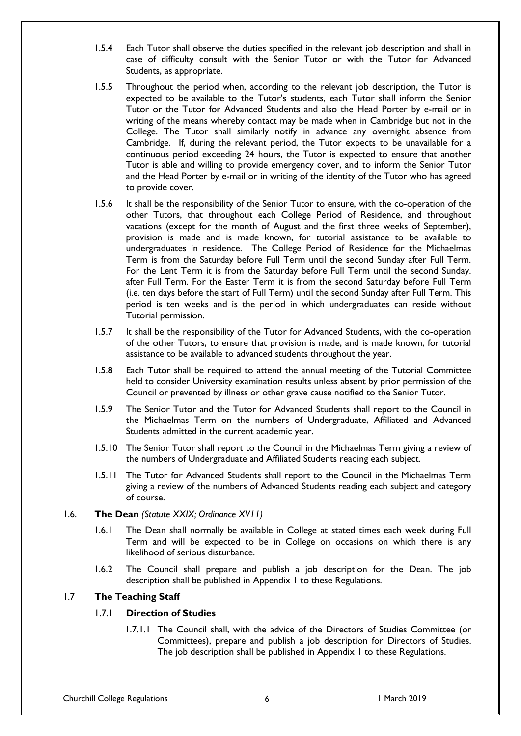- 1.5.4 Each Tutor shall observe the duties specified in the relevant job description and shall in case of difficulty consult with the Senior Tutor or with the Tutor for Advanced Students, as appropriate.
- 1.5.5 Throughout the period when, according to the relevant job description, the Tutor is expected to be available to the Tutor's students, each Tutor shall inform the Senior Tutor or the Tutor for Advanced Students and also the Head Porter by e-mail or in writing of the means whereby contact may be made when in Cambridge but not in the College. The Tutor shall similarly notify in advance any overnight absence from Cambridge. If, during the relevant period, the Tutor expects to be unavailable for a continuous period exceeding 24 hours, the Tutor is expected to ensure that another Tutor is able and willing to provide emergency cover, and to inform the Senior Tutor and the Head Porter by e-mail or in writing of the identity of the Tutor who has agreed to provide cover.
- 1.5.6 It shall be the responsibility of the Senior Tutor to ensure, with the co-operation of the other Tutors, that throughout each College Period of Residence, and throughout vacations (except for the month of August and the first three weeks of September), provision is made and is made known, for tutorial assistance to be available to undergraduates in residence. The College Period of Residence for the Michaelmas Term is from the Saturday before Full Term until the second Sunday after Full Term. For the Lent Term it is from the Saturday before Full Term until the second Sunday. after Full Term. For the Easter Term it is from the second Saturday before Full Term (i.e. ten days before the start of Full Term) until the second Sunday after Full Term. This period is ten weeks and is the period in which undergraduates can reside without Tutorial permission.
- 1.5.7 It shall be the responsibility of the Tutor for Advanced Students, with the co-operation of the other Tutors, to ensure that provision is made, and is made known, for tutorial assistance to be available to advanced students throughout the year.
- 1.5.8 Each Tutor shall be required to attend the annual meeting of the Tutorial Committee held to consider University examination results unless absent by prior permission of the Council or prevented by illness or other grave cause notified to the Senior Tutor.
- 1.5.9 The Senior Tutor and the Tutor for Advanced Students shall report to the Council in the Michaelmas Term on the numbers of Undergraduate, Affiliated and Advanced Students admitted in the current academic year.
- 1.5.10 The Senior Tutor shall report to the Council in the Michaelmas Term giving a review of the numbers of Undergraduate and Affiliated Students reading each subject.
- 1.5.11 The Tutor for Advanced Students shall report to the Council in the Michaelmas Term giving a review of the numbers of Advanced Students reading each subject and category of course.
- 1.6. **The Dean** *(Statute XXIX; Ordinance XV11)*
	- 1.6.1 The Dean shall normally be available in College at stated times each week during Full Term and will be expected to be in College on occasions on which there is any likelihood of serious disturbance.
	- 1.6.2 The Council shall prepare and publish a job description for the Dean. The job description shall be published in Appendix 1 to these Regulations.

## 1.7 **The Teaching Staff**

# 1.7.1 **Direction of Studies**

1.7.1.1 The Council shall, with the advice of the Directors of Studies Committee (or Committees), prepare and publish a job description for Directors of Studies. The job description shall be published in Appendix 1 to these Regulations.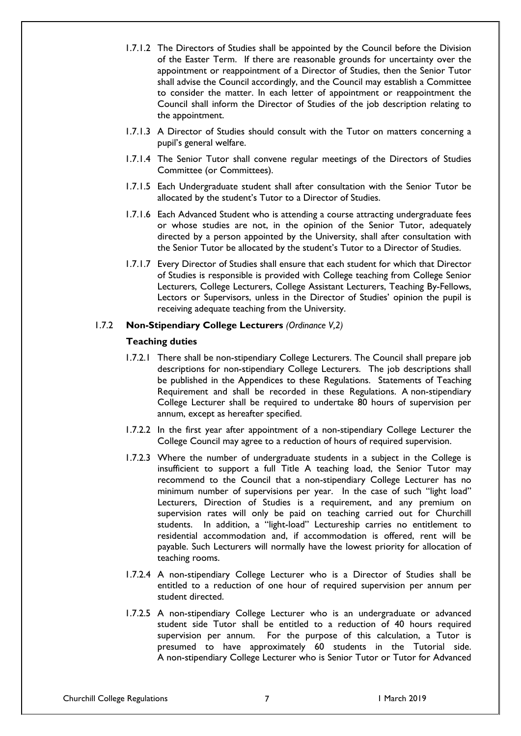- 1.7.1.2 The Directors of Studies shall be appointed by the Council before the Division of the Easter Term. If there are reasonable grounds for uncertainty over the appointment or reappointment of a Director of Studies, then the Senior Tutor shall advise the Council accordingly, and the Council may establish a Committee to consider the matter. In each letter of appointment or reappointment the Council shall inform the Director of Studies of the job description relating to the appointment.
- 1.7.1.3 A Director of Studies should consult with the Tutor on matters concerning a pupil's general welfare.
- 1.7.1.4 The Senior Tutor shall convene regular meetings of the Directors of Studies Committee (or Committees).
- 1.7.1.5 Each Undergraduate student shall after consultation with the Senior Tutor be allocated by the student's Tutor to a Director of Studies.
- 1.7.1.6 Each Advanced Student who is attending a course attracting undergraduate fees or whose studies are not, in the opinion of the Senior Tutor, adequately directed by a person appointed by the University, shall after consultation with the Senior Tutor be allocated by the student's Tutor to a Director of Studies.
- 1.7.1.7 Every Director of Studies shall ensure that each student for which that Director of Studies is responsible is provided with College teaching from College Senior Lecturers, College Lecturers, College Assistant Lecturers, Teaching By-Fellows, Lectors or Supervisors, unless in the Director of Studies' opinion the pupil is receiving adequate teaching from the University.

## 1.7.2 **Non-Stipendiary College Lecturers** *(Ordinance V,2)*

#### **Teaching duties**

- 1.7.2.1 There shall be non-stipendiary College Lecturers. The Council shall prepare job descriptions for non-stipendiary College Lecturers. The job descriptions shall be published in the Appendices to these Regulations. Statements of Teaching Requirement and shall be recorded in these Regulations. A non-stipendiary College Lecturer shall be required to undertake 80 hours of supervision per annum, except as hereafter specified.
- 1.7.2.2 In the first year after appointment of a non-stipendiary College Lecturer the College Council may agree to a reduction of hours of required supervision.
- 1.7.2.3 Where the number of undergraduate students in a subject in the College is insufficient to support a full Title A teaching load, the Senior Tutor may recommend to the Council that a non-stipendiary College Lecturer has no minimum number of supervisions per year. In the case of such "light load" Lecturers, Direction of Studies is a requirement, and any premium on supervision rates will only be paid on teaching carried out for Churchill students. In addition, a "light-load" Lectureship carries no entitlement to residential accommodation and, if accommodation is offered, rent will be payable. Such Lecturers will normally have the lowest priority for allocation of teaching rooms.
- 1.7.2.4 A non-stipendiary College Lecturer who is a Director of Studies shall be entitled to a reduction of one hour of required supervision per annum per student directed.
- 1.7.2.5 A non-stipendiary College Lecturer who is an undergraduate or advanced student side Tutor shall be entitled to a reduction of 40 hours required supervision per annum. For the purpose of this calculation, a Tutor is presumed to have approximately 60 students in the Tutorial side. A non-stipendiary College Lecturer who is Senior Tutor or Tutor for Advanced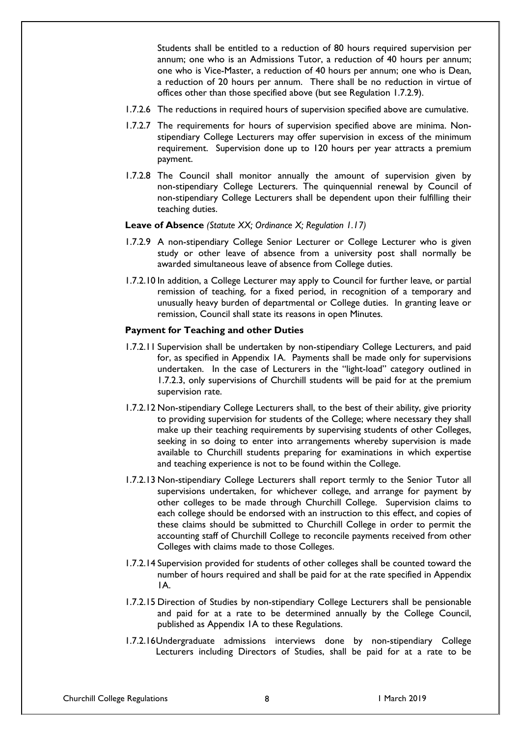Students shall be entitled to a reduction of 80 hours required supervision per annum; one who is an Admissions Tutor, a reduction of 40 hours per annum; one who is Vice-Master, a reduction of 40 hours per annum; one who is Dean, a reduction of 20 hours per annum. There shall be no reduction in virtue of offices other than those specified above (but see Regulation 1.7.2.9).

- 1.7.2.6 The reductions in required hours of supervision specified above are cumulative.
- 1.7.2.7 The requirements for hours of supervision specified above are minima. Nonstipendiary College Lecturers may offer supervision in excess of the minimum requirement. Supervision done up to 120 hours per year attracts a premium payment.
- 1.7.2.8 The Council shall monitor annually the amount of supervision given by non-stipendiary College Lecturers. The quinquennial renewal by Council of non-stipendiary College Lecturers shall be dependent upon their fulfilling their teaching duties.

#### **Leave of Absence** *(Statute XX; Ordinance X; Regulation 1.17)*

- 1.7.2.9 A non-stipendiary College Senior Lecturer or College Lecturer who is given study or other leave of absence from a university post shall normally be awarded simultaneous leave of absence from College duties.
- 1.7.2.10 In addition, a College Lecturer may apply to Council for further leave, or partial remission of teaching, for a fixed period, in recognition of a temporary and unusually heavy burden of departmental or College duties. In granting leave or remission, Council shall state its reasons in open Minutes.

#### **Payment for Teaching and other Duties**

- 1.7.2.11 Supervision shall be undertaken by non-stipendiary College Lecturers, and paid for, as specified in Appendix 1A. Payments shall be made only for supervisions undertaken. In the case of Lecturers in the "light-load" category outlined in 1.7.2.3, only supervisions of Churchill students will be paid for at the premium supervision rate.
- 1.7.2.12 Non-stipendiary College Lecturers shall, to the best of their ability, give priority to providing supervision for students of the College; where necessary they shall make up their teaching requirements by supervising students of other Colleges, seeking in so doing to enter into arrangements whereby supervision is made available to Churchill students preparing for examinations in which expertise and teaching experience is not to be found within the College.
- 1.7.2.13 Non-stipendiary College Lecturers shall report termly to the Senior Tutor all supervisions undertaken, for whichever college, and arrange for payment by other colleges to be made through Churchill College. Supervision claims to each college should be endorsed with an instruction to this effect, and copies of these claims should be submitted to Churchill College in order to permit the accounting staff of Churchill College to reconcile payments received from other Colleges with claims made to those Colleges.
- 1.7.2.14 Supervision provided for students of other colleges shall be counted toward the number of hours required and shall be paid for at the rate specified in Appendix 1A.
- 1.7.2.15 Direction of Studies by non-stipendiary College Lecturers shall be pensionable and paid for at a rate to be determined annually by the College Council, published as Appendix 1A to these Regulations.
- 1.7.2.16Undergraduate admissions interviews done by non-stipendiary College Lecturers including Directors of Studies, shall be paid for at a rate to be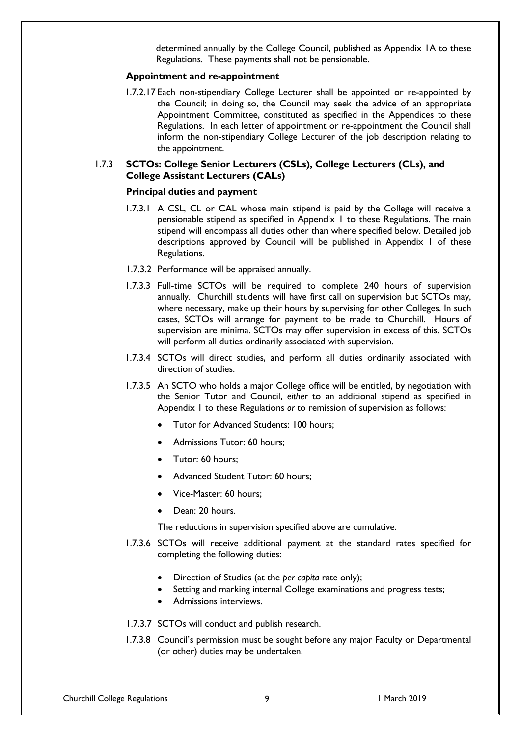determined annually by the College Council, published as Appendix 1A to these Regulations. These payments shall not be pensionable.

#### **Appointment and re-appointment**

1.7.2.17 Each non-stipendiary College Lecturer shall be appointed or re-appointed by the Council; in doing so, the Council may seek the advice of an appropriate Appointment Committee, constituted as specified in the Appendices to these Regulations. In each letter of appointment or re-appointment the Council shall inform the non-stipendiary College Lecturer of the job description relating to the appointment.

## 1.7.3 **SCTOs: College Senior Lecturers (CSLs), College Lecturers (CLs), and College Assistant Lecturers (CALs)**

#### **Principal duties and payment**

- 1.7.3.1 A CSL, CL or CAL whose main stipend is paid by the College will receive a pensionable stipend as specified in Appendix 1 to these Regulations. The main stipend will encompass all duties other than where specified below. Detailed job descriptions approved by Council will be published in Appendix 1 of these Regulations.
- 1.7.3.2 Performance will be appraised annually.
- 1.7.3.3 Full-time SCTOs will be required to complete 240 hours of supervision annually. Churchill students will have first call on supervision but SCTOs may, where necessary, make up their hours by supervising for other Colleges. In such cases, SCTOs will arrange for payment to be made to Churchill. Hours of supervision are minima. SCTOs may offer supervision in excess of this. SCTOs will perform all duties ordinarily associated with supervision.
- 1.7.3.4 SCTOs will direct studies, and perform all duties ordinarily associated with direction of studies.
- 1.7.3.5 An SCTO who holds a major College office will be entitled, by negotiation with the Senior Tutor and Council, *either* to an additional stipend as specified in Appendix 1 to these Regulations *or* to remission of supervision as follows:
	- Tutor for Advanced Students: 100 hours;
	- Admissions Tutor: 60 hours;
	- Tutor: 60 hours:
	- Advanced Student Tutor: 60 hours;
	- Vice-Master: 60 hours;
	- Dean: 20 hours.

The reductions in supervision specified above are cumulative.

- 1.7.3.6 SCTOs will receive additional payment at the standard rates specified for completing the following duties:
	- Direction of Studies (at the *per capita* rate only);
	- Setting and marking internal College examinations and progress tests;
	- Admissions interviews.
- 1.7.3.7 SCTOs will conduct and publish research.
- 1.7.3.8 Council's permission must be sought before any major Faculty or Departmental (or other) duties may be undertaken.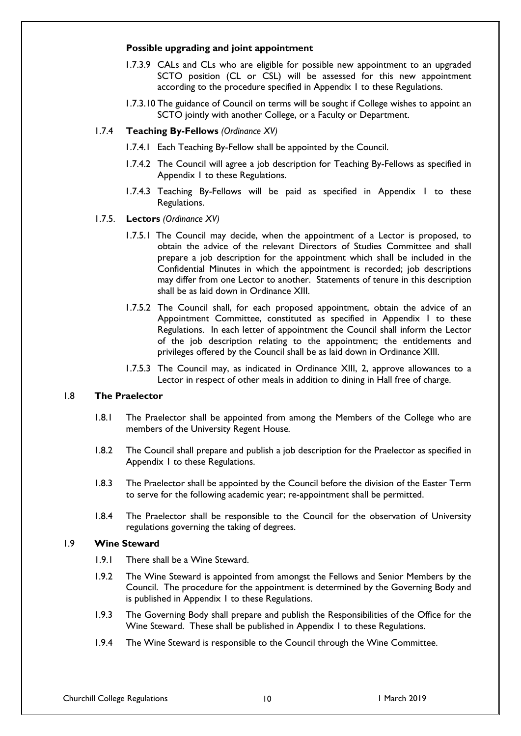#### **Possible upgrading and joint appointment**

- 1.7.3.9 CALs and CLs who are eligible for possible new appointment to an upgraded SCTO position (CL or CSL) will be assessed for this new appointment according to the procedure specified in Appendix 1 to these Regulations.
- 1.7.3.10 The guidance of Council on terms will be sought if College wishes to appoint an SCTO jointly with another College, or a Faculty or Department.

## 1.7.4 **Teaching By-Fellows** *(Ordinance XV)*

- 1.7.4.1 Each Teaching By-Fellow shall be appointed by the Council.
- 1.7.4.2 The Council will agree a job description for Teaching By-Fellows as specified in Appendix 1 to these Regulations.
- 1.7.4.3 Teaching By-Fellows will be paid as specified in Appendix 1 to these Regulations.
- 1.7.5. **Lectors** *(Ordinance XV)*
	- 1.7.5.1 The Council may decide, when the appointment of a Lector is proposed, to obtain the advice of the relevant Directors of Studies Committee and shall prepare a job description for the appointment which shall be included in the Confidential Minutes in which the appointment is recorded; job descriptions may differ from one Lector to another. Statements of tenure in this description shall be as laid down in Ordinance XIII.
	- 1.7.5.2 The Council shall, for each proposed appointment, obtain the advice of an Appointment Committee, constituted as specified in Appendix 1 to these Regulations. In each letter of appointment the Council shall inform the Lector of the job description relating to the appointment; the entitlements and privileges offered by the Council shall be as laid down in Ordinance XIII.
	- 1.7.5.3 The Council may, as indicated in Ordinance XIII, 2, approve allowances to a Lector in respect of other meals in addition to dining in Hall free of charge.

# 1.8 **The Praelector**

- 1.8.1 The Praelector shall be appointed from among the Members of the College who are members of the University Regent House*.*
- 1.8.2 The Council shall prepare and publish a job description for the Praelector as specified in Appendix 1 to these Regulations.
- 1.8.3 The Praelector shall be appointed by the Council before the division of the Easter Term to serve for the following academic year; re-appointment shall be permitted.
- 1.8.4 The Praelector shall be responsible to the Council for the observation of University regulations governing the taking of degrees.

## 1.9 **Wine Steward**

- 1.9.1 There shall be a Wine Steward.
- 1.9.2 The Wine Steward is appointed from amongst the Fellows and Senior Members by the Council. The procedure for the appointment is determined by the Governing Body and is published in Appendix 1 to these Regulations.
- 1.9.3 The Governing Body shall prepare and publish the Responsibilities of the Office for the Wine Steward. These shall be published in Appendix 1 to these Regulations.
- 1.9.4 The Wine Steward is responsible to the Council through the Wine Committee.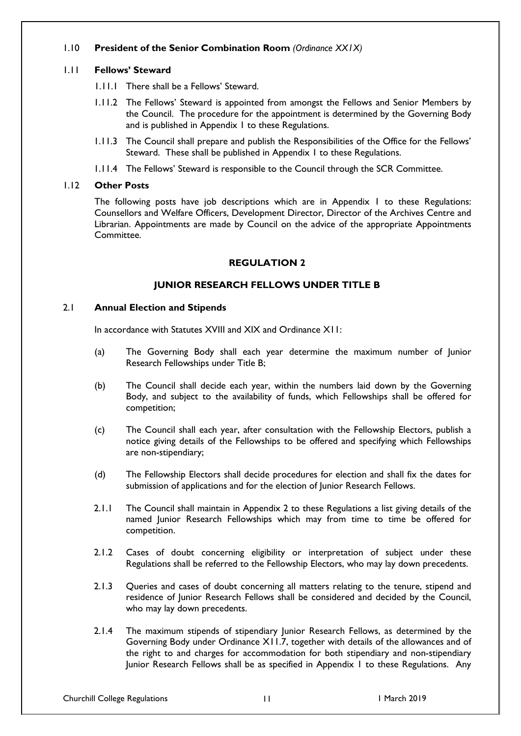# 1.10 **President of the Senior Combination Room** *(Ordinance XX1X)*

# 1.11 **Fellows' Steward**

- 1.11.1 There shall be a Fellows' Steward.
- 1.11.2 The Fellows' Steward is appointed from amongst the Fellows and Senior Members by the Council. The procedure for the appointment is determined by the Governing Body and is published in Appendix 1 to these Regulations.
- 1.11.3 The Council shall prepare and publish the Responsibilities of the Office for the Fellows' Steward. These shall be published in Appendix 1 to these Regulations.
- 1.11.4 The Fellows' Steward is responsible to the Council through the SCR Committee.

# 1.12 **Other Posts**

The following posts have job descriptions which are in Appendix 1 to these Regulations: Counsellors and Welfare Officers, Development Director, Director of the Archives Centre and Librarian. Appointments are made by Council on the advice of the appropriate Appointments Committee.

# **REGULATION 2**

# **JUNIOR RESEARCH FELLOWS UNDER TITLE B**

## 2.1 **Annual Election and Stipends**

In accordance with Statutes XVIII and XIX and Ordinance X11:

- (a) The Governing Body shall each year determine the maximum number of Junior Research Fellowships under Title B;
- (b) The Council shall decide each year, within the numbers laid down by the Governing Body, and subject to the availability of funds, which Fellowships shall be offered for competition;
- (c) The Council shall each year, after consultation with the Fellowship Electors, publish a notice giving details of the Fellowships to be offered and specifying which Fellowships are non-stipendiary;
- (d) The Fellowship Electors shall decide procedures for election and shall fix the dates for submission of applications and for the election of Junior Research Fellows.
- 2.1.1 The Council shall maintain in Appendix 2 to these Regulations a list giving details of the named Junior Research Fellowships which may from time to time be offered for competition.
- 2.1.2 Cases of doubt concerning eligibility or interpretation of subject under these Regulations shall be referred to the Fellowship Electors, who may lay down precedents.
- 2.1.3 Queries and cases of doubt concerning all matters relating to the tenure, stipend and residence of Junior Research Fellows shall be considered and decided by the Council, who may lay down precedents.
- 2.1.4 The maximum stipends of stipendiary Junior Research Fellows, as determined by the Governing Body under Ordinance X11.7, together with details of the allowances and of the right to and charges for accommodation for both stipendiary and non-stipendiary Junior Research Fellows shall be as specified in Appendix 1 to these Regulations. Any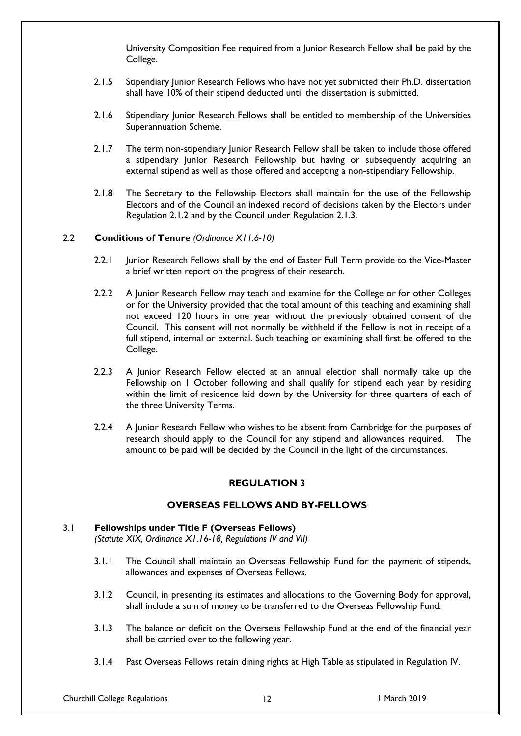University Composition Fee required from a Junior Research Fellow shall be paid by the College.

- 2.1.5 Stipendiary Junior Research Fellows who have not yet submitted their Ph.D. dissertation shall have 10% of their stipend deducted until the dissertation is submitted.
- 2.1.6 Stipendiary Junior Research Fellows shall be entitled to membership of the Universities Superannuation Scheme.
- 2.1.7 The term non-stipendiary Junior Research Fellow shall be taken to include those offered a stipendiary Junior Research Fellowship but having or subsequently acquiring an external stipend as well as those offered and accepting a non-stipendiary Fellowship.
- 2.1.8 The Secretary to the Fellowship Electors shall maintain for the use of the Fellowship Electors and of the Council an indexed record of decisions taken by the Electors under Regulation 2.1.2 and by the Council under Regulation 2.1.3.

#### 2.2 **Conditions of Tenure** *(Ordinance X11.6-10)*

- 2.2.1 Junior Research Fellows shall by the end of Easter Full Term provide to the Vice-Master a brief written report on the progress of their research.
- 2.2.2 A Junior Research Fellow may teach and examine for the College or for other Colleges or for the University provided that the total amount of this teaching and examining shall not exceed 120 hours in one year without the previously obtained consent of the Council. This consent will not normally be withheld if the Fellow is not in receipt of a full stipend, internal or external. Such teaching or examining shall first be offered to the College.
- 2.2.3 A Junior Research Fellow elected at an annual election shall normally take up the Fellowship on 1 October following and shall qualify for stipend each year by residing within the limit of residence laid down by the University for three quarters of each of the three University Terms.
- 2.2.4 A Junior Research Fellow who wishes to be absent from Cambridge for the purposes of research should apply to the Council for any stipend and allowances required. The amount to be paid will be decided by the Council in the light of the circumstances.

## **REGULATION 3**

### **OVERSEAS FELLOWS AND BY-FELLOWS**

#### 3.1 **Fellowships under Title F (Overseas Fellows)**

*(Statute XIX, Ordinance X1.16-18, Regulations IV and VII)*

- 3.1.1 The Council shall maintain an Overseas Fellowship Fund for the payment of stipends, allowances and expenses of Overseas Fellows.
- 3.1.2 Council, in presenting its estimates and allocations to the Governing Body for approval, shall include a sum of money to be transferred to the Overseas Fellowship Fund.
- 3.1.3 The balance or deficit on the Overseas Fellowship Fund at the end of the financial year shall be carried over to the following year.
- 3.1.4 Past Overseas Fellows retain dining rights at High Table as stipulated in Regulation IV.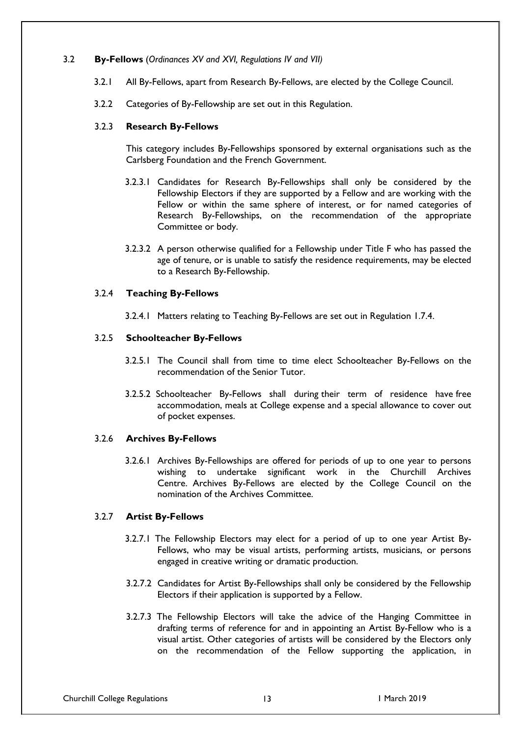## 3.2 **By-Fellows** (*Ordinances XV and XVI, Regulations IV and VII)*

- 3.2.1 All By-Fellows, apart from Research By-Fellows, are elected by the College Council.
- 3.2.2 Categories of By-Fellowship are set out in this Regulation.

#### 3.2.3 **Research By-Fellows**

This category includes By-Fellowships sponsored by external organisations such as the Carlsberg Foundation and the French Government.

- 3.2.3.1 Candidates for Research By-Fellowships shall only be considered by the Fellowship Electors if they are supported by a Fellow and are working with the Fellow or within the same sphere of interest, or for named categories of Research By-Fellowships, on the recommendation of the appropriate Committee or body.
- 3.2.3.2 A person otherwise qualified for a Fellowship under Title F who has passed the age of tenure, or is unable to satisfy the residence requirements, may be elected to a Research By-Fellowship.

## 3.2.4 **Teaching By-Fellows**

3.2.4.1 Matters relating to Teaching By-Fellows are set out in Regulation 1.7.4.

#### 3.2.5 **Schoolteacher By-Fellows**

- 3.2.5.1 The Council shall from time to time elect Schoolteacher By-Fellows on the recommendation of the Senior Tutor.
- 3.2.5.2 Schoolteacher By-Fellows shall during their term of residence have free accommodation, meals at College expense and a special allowance to cover out of pocket expenses.

#### 3.2.6 **Archives By-Fellows**

3.2.6.1 Archives By-Fellowships are offered for periods of up to one year to persons wishing to undertake significant work in the Churchill Archives Centre. Archives By-Fellows are elected by the College Council on the nomination of the Archives Committee.

## 3.2.7 **Artist By-Fellows**

- 3.2.7.1 The Fellowship Electors may elect for a period of up to one year Artist By-Fellows, who may be visual artists, performing artists, musicians, or persons engaged in creative writing or dramatic production.
- 3.2.7.2 Candidates for Artist By-Fellowships shall only be considered by the Fellowship Electors if their application is supported by a Fellow.
- 3.2.7.3 The Fellowship Electors will take the advice of the Hanging Committee in drafting terms of reference for and in appointing an Artist By-Fellow who is a visual artist. Other categories of artists will be considered by the Electors only on the recommendation of the Fellow supporting the application, in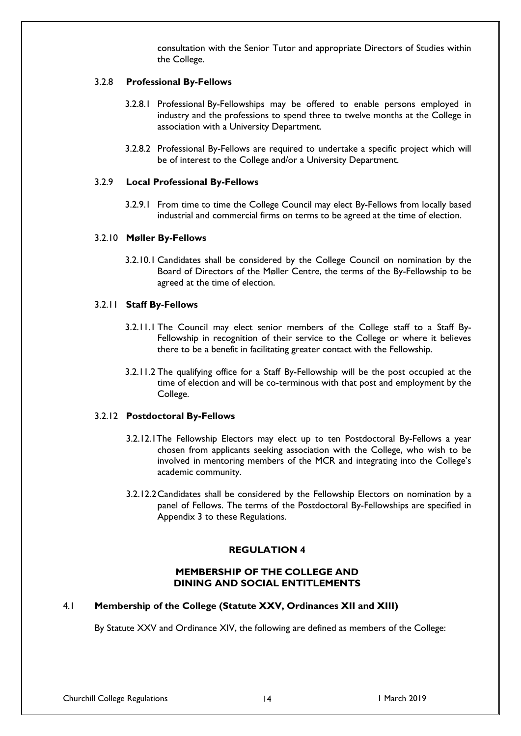consultation with the Senior Tutor and appropriate Directors of Studies within the College.

## 3.2.8 **Professional By-Fellows**

- 3.2.8.1 Professional By-Fellowships may be offered to enable persons employed in industry and the professions to spend three to twelve months at the College in association with a University Department.
- 3.2.8.2 Professional By-Fellows are required to undertake a specific project which will be of interest to the College and/or a University Department.

#### 3.2.9 **Local Professional By-Fellows**

3.2.9.1 From time to time the College Council may elect By-Fellows from locally based industrial and commercial firms on terms to be agreed at the time of election.

#### 3.2.10 **Møller By-Fellows**

3.2.10.1 Candidates shall be considered by the College Council on nomination by the Board of Directors of the Møller Centre, the terms of the By-Fellowship to be agreed at the time of election.

#### 3.2.11 **Staff By-Fellows**

- 3.2.11.1 The Council may elect senior members of the College staff to a Staff By-Fellowship in recognition of their service to the College or where it believes there to be a benefit in facilitating greater contact with the Fellowship.
- 3.2.11.2 The qualifying office for a Staff By-Fellowship will be the post occupied at the time of election and will be co-terminous with that post and employment by the College.

#### 3.2.12 **Postdoctoral By-Fellows**

- 3.2.12.1The Fellowship Electors may elect up to ten Postdoctoral By-Fellows a year chosen from applicants seeking association with the College, who wish to be involved in mentoring members of the MCR and integrating into the College's academic community.
- 3.2.12.2Candidates shall be considered by the Fellowship Electors on nomination by a panel of Fellows. The terms of the Postdoctoral By-Fellowships are specified in Appendix 3 to these Regulations.

### **REGULATION 4**

## **MEMBERSHIP OF THE COLLEGE AND DINING AND SOCIAL ENTITLEMENTS**

### 4.1 **Membership of the College (Statute XXV, Ordinances XII and XIII)**

By Statute XXV and Ordinance XIV, the following are defined as members of the College: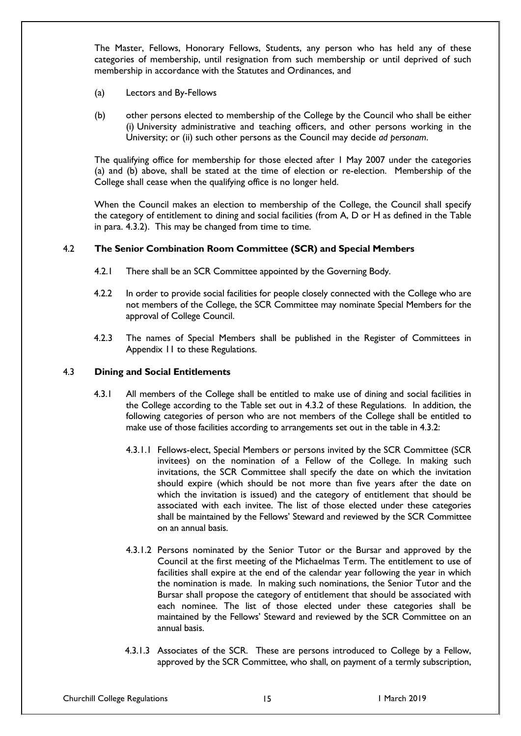The Master, Fellows, Honorary Fellows, Students, any person who has held any of these categories of membership, until resignation from such membership or until deprived of such membership in accordance with the Statutes and Ordinances, and

- (a) Lectors and By-Fellows
- (b) other persons elected to membership of the College by the Council who shall be either (i) University administrative and teaching officers, and other persons working in the University; or (ii) such other persons as the Council may decide *ad personam*.

The qualifying office for membership for those elected after 1 May 2007 under the categories (a) and (b) above, shall be stated at the time of election or re-election. Membership of the College shall cease when the qualifying office is no longer held.

When the Council makes an election to membership of the College, the Council shall specify the category of entitlement to dining and social facilities (from A, D or H as defined in the Table in para. 4.3.2). This may be changed from time to time.

# 4.2 **The Senior Combination Room Committee (SCR) and Special Members**

- 4.2.1 There shall be an SCR Committee appointed by the Governing Body.
- 4.2.2 In order to provide social facilities for people closely connected with the College who are not members of the College, the SCR Committee may nominate Special Members for the approval of College Council.
- 4.2.3 The names of Special Members shall be published in the Register of Committees in Appendix 11 to these Regulations.

# 4.3 **Dining and Social Entitlements**

- 4.3.1 All members of the College shall be entitled to make use of dining and social facilities in the College according to the Table set out in 4.3.2 of these Regulations. In addition, the following categories of person who are not members of the College shall be entitled to make use of those facilities according to arrangements set out in the table in 4.3.2:
	- 4.3.1.1 Fellows-elect, Special Members or persons invited by the SCR Committee (SCR invitees) on the nomination of a Fellow of the College. In making such invitations, the SCR Committee shall specify the date on which the invitation should expire (which should be not more than five years after the date on which the invitation is issued) and the category of entitlement that should be associated with each invitee. The list of those elected under these categories shall be maintained by the Fellows' Steward and reviewed by the SCR Committee on an annual basis.
	- 4.3.1.2 Persons nominated by the Senior Tutor or the Bursar and approved by the Council at the first meeting of the Michaelmas Term. The entitlement to use of facilities shall expire at the end of the calendar year following the year in which the nomination is made. In making such nominations, the Senior Tutor and the Bursar shall propose the category of entitlement that should be associated with each nominee. The list of those elected under these categories shall be maintained by the Fellows' Steward and reviewed by the SCR Committee on an annual basis.
	- 4.3.1.3 Associates of the SCR. These are persons introduced to College by a Fellow, approved by the SCR Committee, who shall, on payment of a termly subscription,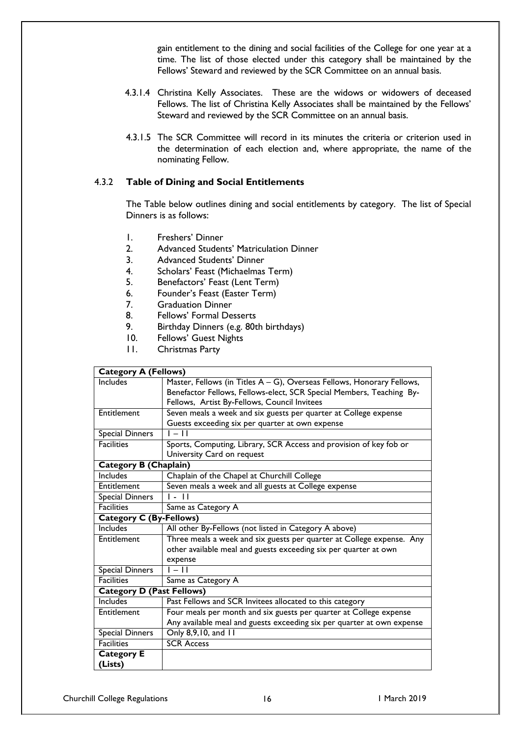gain entitlement to the dining and social facilities of the College for one year at a time. The list of those elected under this category shall be maintained by the Fellows' Steward and reviewed by the SCR Committee on an annual basis.

- 4.3.1.4 Christina Kelly Associates. These are the widows or widowers of deceased Fellows. The list of Christina Kelly Associates shall be maintained by the Fellows' Steward and reviewed by the SCR Committee on an annual basis.
- 4.3.1.5 The SCR Committee will record in its minutes the criteria or criterion used in the determination of each election and, where appropriate, the name of the nominating Fellow.

### 4.3.2 **Table of Dining and Social Entitlements**

The Table below outlines dining and social entitlements by category. The list of Special Dinners is as follows:

- 1. Freshers' Dinner
- 2. Advanced Students' Matriculation Dinner
- 3. Advanced Students' Dinner
- 4. Scholars' Feast (Michaelmas Term)
- 5. Benefactors' Feast (Lent Term)
- 6. Founder's Feast (Easter Term)
- 7. Graduation Dinner
- 8. Fellows' Formal Desserts
- 9. Birthday Dinners (e.g. 80th birthdays)
- 10. Fellows' Guest Nights
- 11. Christmas Party

| <b>Category A (Fellows)</b>      |                                                                        |  |  |  |  |
|----------------------------------|------------------------------------------------------------------------|--|--|--|--|
| Includes                         | Master, Fellows (in Titles A - G), Overseas Fellows, Honorary Fellows, |  |  |  |  |
|                                  | Benefactor Fellows, Fellows-elect, SCR Special Members, Teaching By-   |  |  |  |  |
|                                  | Fellows, Artist By-Fellows, Council Invitees                           |  |  |  |  |
| Entitlement                      | Seven meals a week and six guests per quarter at College expense       |  |  |  |  |
|                                  | Guests exceeding six per quarter at own expense                        |  |  |  |  |
| <b>Special Dinners</b>           | $1 - 11$                                                               |  |  |  |  |
| <b>Facilities</b>                | Sports, Computing, Library, SCR Access and provision of key fob or     |  |  |  |  |
|                                  | University Card on request                                             |  |  |  |  |
| <b>Category B (Chaplain)</b>     |                                                                        |  |  |  |  |
| Includes                         | Chaplain of the Chapel at Churchill College                            |  |  |  |  |
| Entitlement                      | Seven meals a week and all guests at College expense                   |  |  |  |  |
| <b>Special Dinners</b>           | $\overline{\phantom{a}}$ . $\overline{\phantom{a}}$                    |  |  |  |  |
| <b>Facilities</b>                | Same as Category A                                                     |  |  |  |  |
| <b>Category C (By-Fellows)</b>   |                                                                        |  |  |  |  |
| <b>Includes</b>                  | All other By-Fellows (not listed in Category A above)                  |  |  |  |  |
| Entitlement                      | Three meals a week and six guests per quarter at College expense. Any  |  |  |  |  |
|                                  | other available meal and guests exceeding six per quarter at own       |  |  |  |  |
|                                  | expense                                                                |  |  |  |  |
| <b>Special Dinners</b>           | $1 - 11$                                                               |  |  |  |  |
| <b>Facilities</b>                | Same as Category A                                                     |  |  |  |  |
| <b>Category D (Past Fellows)</b> |                                                                        |  |  |  |  |
| Includes                         | Past Fellows and SCR Invitees allocated to this category               |  |  |  |  |
| Entitlement                      | Four meals per month and six guests per quarter at College expense     |  |  |  |  |
|                                  | Any available meal and guests exceeding six per quarter at own expense |  |  |  |  |
| Special Dinners                  | Only 8,9,10, and 11                                                    |  |  |  |  |
| <b>Facilities</b>                | <b>SCR Access</b>                                                      |  |  |  |  |
| <b>Category E</b>                |                                                                        |  |  |  |  |
| (Lists)                          |                                                                        |  |  |  |  |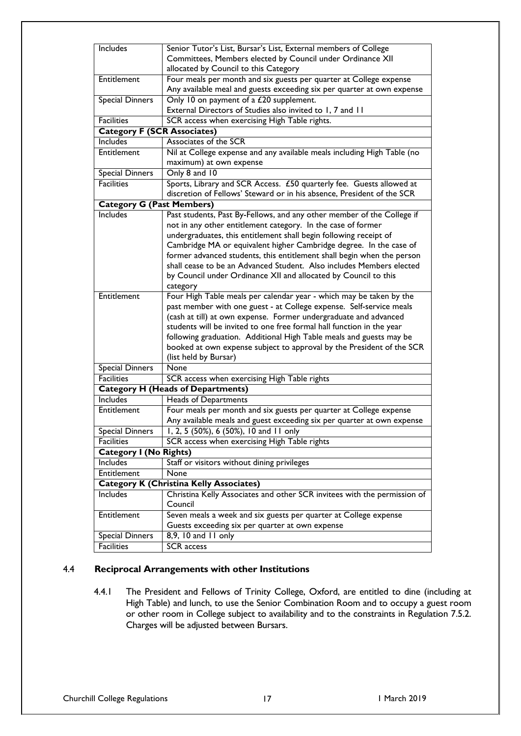| Includes                           | Senior Tutor's List, Bursar's List, External members of College          |  |  |  |  |  |
|------------------------------------|--------------------------------------------------------------------------|--|--|--|--|--|
|                                    | Committees, Members elected by Council under Ordinance XII               |  |  |  |  |  |
|                                    | allocated by Council to this Category                                    |  |  |  |  |  |
| Entitlement                        | Four meals per month and six guests per quarter at College expense       |  |  |  |  |  |
|                                    | Any available meal and guests exceeding six per quarter at own expense   |  |  |  |  |  |
| <b>Special Dinners</b>             | Only 10 on payment of a £20 supplement.                                  |  |  |  |  |  |
|                                    | External Directors of Studies also invited to 1, 7 and 11                |  |  |  |  |  |
| <b>Facilities</b>                  | SCR access when exercising High Table rights.                            |  |  |  |  |  |
| <b>Category F (SCR Associates)</b> |                                                                          |  |  |  |  |  |
| Includes                           | Associates of the SCR                                                    |  |  |  |  |  |
| Entitlement                        | Nil at College expense and any available meals including High Table (no  |  |  |  |  |  |
|                                    | maximum) at own expense                                                  |  |  |  |  |  |
| Special Dinners                    | Only 8 and 10                                                            |  |  |  |  |  |
| <b>Facilities</b>                  | Sports, Library and SCR Access. £50 quarterly fee. Guests allowed at     |  |  |  |  |  |
|                                    | discretion of Fellows' Steward or in his absence, President of the SCR   |  |  |  |  |  |
| <b>Category G (Past Members)</b>   |                                                                          |  |  |  |  |  |
| <b>Includes</b>                    | Past students, Past By-Fellows, and any other member of the College if   |  |  |  |  |  |
|                                    | not in any other entitlement category. In the case of former             |  |  |  |  |  |
|                                    | undergraduates, this entitlement shall begin following receipt of        |  |  |  |  |  |
|                                    | Cambridge MA or equivalent higher Cambridge degree. In the case of       |  |  |  |  |  |
|                                    | former advanced students, this entitlement shall begin when the person   |  |  |  |  |  |
|                                    | shall cease to be an Advanced Student. Also includes Members elected     |  |  |  |  |  |
|                                    | by Council under Ordinance XII and allocated by Council to this          |  |  |  |  |  |
|                                    | category                                                                 |  |  |  |  |  |
| Entitlement                        | Four High Table meals per calendar year - which may be taken by the      |  |  |  |  |  |
|                                    | past member with one guest - at College expense. Self-service meals      |  |  |  |  |  |
|                                    | (cash at till) at own expense. Former undergraduate and advanced         |  |  |  |  |  |
|                                    | students will be invited to one free formal hall function in the year    |  |  |  |  |  |
|                                    | following graduation. Additional High Table meals and guests may be      |  |  |  |  |  |
|                                    | booked at own expense subject to approval by the President of the SCR    |  |  |  |  |  |
|                                    | (list held by Bursar)                                                    |  |  |  |  |  |
| <b>Special Dinners</b>             | None                                                                     |  |  |  |  |  |
| <b>Facilities</b>                  | SCR access when exercising High Table rights                             |  |  |  |  |  |
|                                    | <b>Category H (Heads of Departments)</b>                                 |  |  |  |  |  |
| <b>Includes</b>                    | <b>Heads of Departments</b>                                              |  |  |  |  |  |
| Entitlement                        | Four meals per month and six guests per quarter at College expense       |  |  |  |  |  |
|                                    | Any available meals and guest exceeding six per quarter at own expense   |  |  |  |  |  |
| Special Dinners                    | 1, 2, 5 (50%), 6 (50%), 10 and $1\overline{1}$ only                      |  |  |  |  |  |
| <b>Facilities</b>                  | SCR access when exercising High Table rights                             |  |  |  |  |  |
| <b>Category I (No Rights)</b>      |                                                                          |  |  |  |  |  |
| Includes                           | Staff or visitors without dining privileges                              |  |  |  |  |  |
| Entitlement                        | None                                                                     |  |  |  |  |  |
|                                    | <b>Category K (Christina Kelly Associates)</b>                           |  |  |  |  |  |
| Includes                           | Christina Kelly Associates and other SCR invitees with the permission of |  |  |  |  |  |
|                                    | Council                                                                  |  |  |  |  |  |
| Entitlement                        | Seven meals a week and six guests per quarter at College expense         |  |  |  |  |  |
|                                    | Guests exceeding six per quarter at own expense                          |  |  |  |  |  |
| <b>Special Dinners</b>             | 8,9, 10 and 11 only                                                      |  |  |  |  |  |
| <b>Facilities</b>                  | SCR access                                                               |  |  |  |  |  |
|                                    |                                                                          |  |  |  |  |  |

# 4.4 **Reciprocal Arrangements with other Institutions**

4.4.1 The President and Fellows of Trinity College, Oxford, are entitled to dine (including at High Table) and lunch, to use the Senior Combination Room and to occupy a guest room or other room in College subject to availability and to the constraints in Regulation 7.5.2. Charges will be adjusted between Bursars.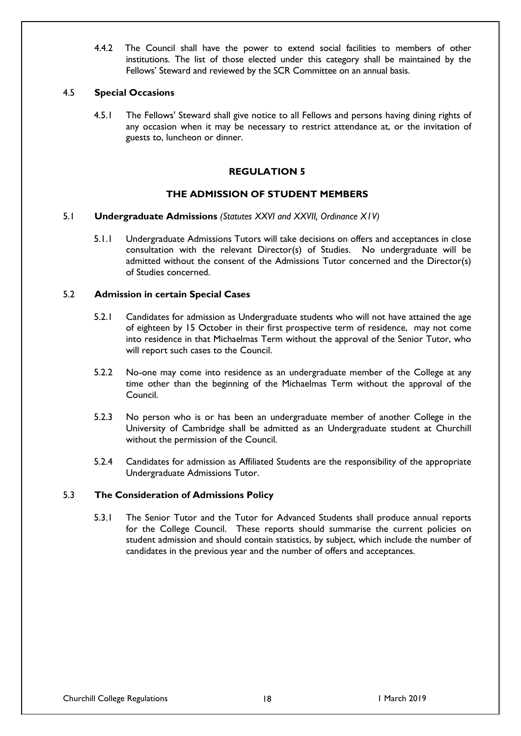4.4.2 The Council shall have the power to extend social facilities to members of other institutions. The list of those elected under this category shall be maintained by the Fellows' Steward and reviewed by the SCR Committee on an annual basis.

## 4.5 **Special Occasions**

4.5.1 The Fellows' Steward shall give notice to all Fellows and persons having dining rights of any occasion when it may be necessary to restrict attendance at, or the invitation of guests to, luncheon or dinner.

# **REGULATION 5**

# **THE ADMISSION OF STUDENT MEMBERS**

## 5.1 **Undergraduate Admissions** *(Statutes XXVI and XXVII, Ordinance X1V)*

5.1.1 Undergraduate Admissions Tutors will take decisions on offers and acceptances in close consultation with the relevant Director(s) of Studies. No undergraduate will be admitted without the consent of the Admissions Tutor concerned and the Director(s) of Studies concerned.

## 5.2 **Admission in certain Special Cases**

- 5.2.1 Candidates for admission as Undergraduate students who will not have attained the age of eighteen by 15 October in their first prospective term of residence, may not come into residence in that Michaelmas Term without the approval of the Senior Tutor, who will report such cases to the Council.
- 5.2.2 No-one may come into residence as an undergraduate member of the College at any time other than the beginning of the Michaelmas Term without the approval of the Council.
- 5.2.3 No person who is or has been an undergraduate member of another College in the University of Cambridge shall be admitted as an Undergraduate student at Churchill without the permission of the Council.
- 5.2.4 Candidates for admission as Affiliated Students are the responsibility of the appropriate Undergraduate Admissions Tutor.

## 5.3 **The Consideration of Admissions Policy**

5.3.1 The Senior Tutor and the Tutor for Advanced Students shall produce annual reports for the College Council. These reports should summarise the current policies on student admission and should contain statistics, by subject, which include the number of candidates in the previous year and the number of offers and acceptances.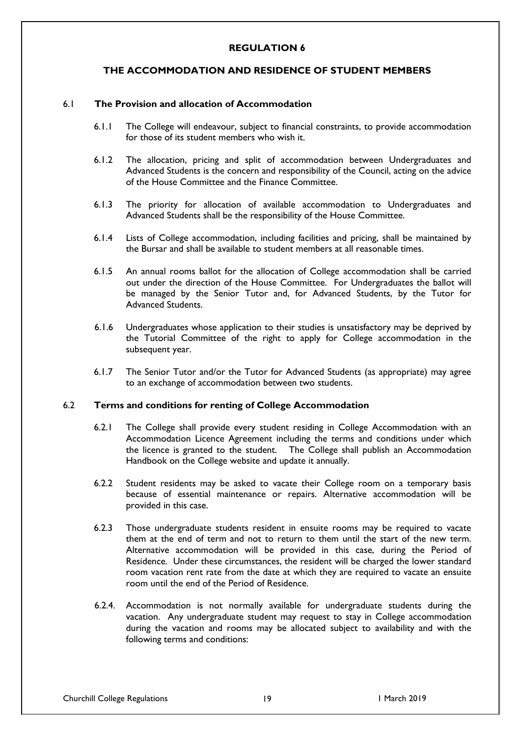## **REGULATION 6**

# **THE ACCOMMODATION AND RESIDENCE OF STUDENT MEMBERS**

## 6.1 **The Provision and allocation of Accommodation**

- 6.1.1 The College will endeavour, subject to financial constraints, to provide accommodation for those of its student members who wish it.
- 6.1.2 The allocation, pricing and split of accommodation between Undergraduates and Advanced Students is the concern and responsibility of the Council, acting on the advice of the House Committee and the Finance Committee.
- 6.1.3 The priority for allocation of available accommodation to Undergraduates and Advanced Students shall be the responsibility of the House Committee.
- 6.1.4 Lists of College accommodation, including facilities and pricing, shall be maintained by the Bursar and shall be available to student members at all reasonable times.
- 6.1.5 An annual rooms ballot for the allocation of College accommodation shall be carried out under the direction of the House Committee. For Undergraduates the ballot will be managed by the Senior Tutor and, for Advanced Students, by the Tutor for Advanced Students.
- 6.1.6 Undergraduates whose application to their studies is unsatisfactory may be deprived by the Tutorial Committee of the right to apply for College accommodation in the subsequent year.
- 6.1.7 The Senior Tutor and/or the Tutor for Advanced Students (as appropriate) may agree to an exchange of accommodation between two students.

#### 6.2 **Terms and conditions for renting of College Accommodation**

- 6.2.1 The College shall provide every student residing in College Accommodation with an Accommodation Licence Agreement including the terms and conditions under which the licence is granted to the student. The College shall publish an Accommodation Handbook on the College website and update it annually.
- 6.2.2 Student residents may be asked to vacate their College room on a temporary basis because of essential maintenance or repairs. Alternative accommodation will be provided in this case.
- 6.2.3 Those undergraduate students resident in ensuite rooms may be required to vacate them at the end of term and not to return to them until the start of the new term. Alternative accommodation will be provided in this case, during the Period of Residence. Under these circumstances, the resident will be charged the lower standard room vacation rent rate from the date at which they are required to vacate an ensuite room until the end of the Period of Residence.
- 6.2.4. Accommodation is not normally available for undergraduate students during the vacation. Any undergraduate student may request to stay in College accommodation during the vacation and rooms may be allocated subject to availability and with the following terms and conditions: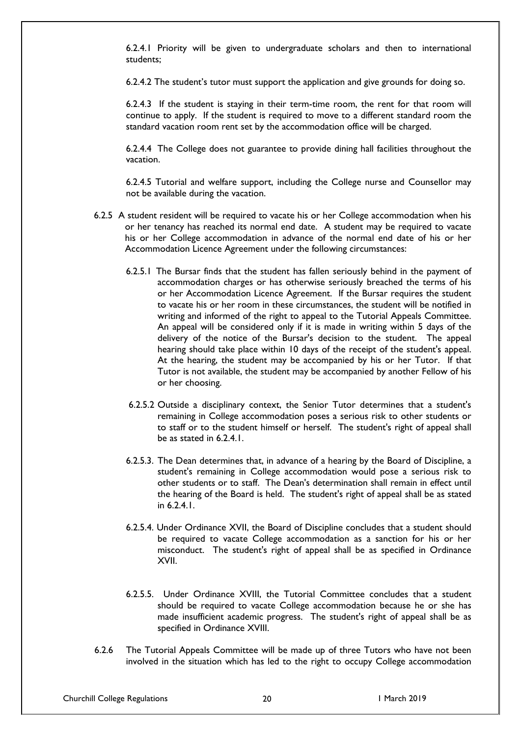6.2.4.1 Priority will be given to undergraduate scholars and then to international students;

6.2.4.2 The student's tutor must support the application and give grounds for doing so.

6.2.4.3 If the student is staying in their term-time room, the rent for that room will continue to apply. If the student is required to move to a different standard room the standard vacation room rent set by the accommodation office will be charged.

6.2.4.4 The College does not guarantee to provide dining hall facilities throughout the vacation.

6.2.4.5 Tutorial and welfare support, including the College nurse and Counsellor may not be available during the vacation.

- 6.2.5 A student resident will be required to vacate his or her College accommodation when his or her tenancy has reached its normal end date. A student may be required to vacate his or her College accommodation in advance of the normal end date of his or her Accommodation Licence Agreement under the following circumstances:
	- 6.2.5.1 The Bursar finds that the student has fallen seriously behind in the payment of accommodation charges or has otherwise seriously breached the terms of his or her Accommodation Licence Agreement. If the Bursar requires the student to vacate his or her room in these circumstances, the student will be notified in writing and informed of the right to appeal to the Tutorial Appeals Committee. An appeal will be considered only if it is made in writing within 5 days of the delivery of the notice of the Bursar's decision to the student. The appeal hearing should take place within 10 days of the receipt of the student's appeal. At the hearing, the student may be accompanied by his or her Tutor. If that Tutor is not available, the student may be accompanied by another Fellow of his or her choosing.
	- 6.2.5.2 Outside a disciplinary context, the Senior Tutor determines that a student's remaining in College accommodation poses a serious risk to other students or to staff or to the student himself or herself. The student's right of appeal shall be as stated in 6.2.4.1.
	- 6.2.5.3. The Dean determines that, in advance of a hearing by the Board of Discipline, a student's remaining in College accommodation would pose a serious risk to other students or to staff. The Dean's determination shall remain in effect until the hearing of the Board is held. The student's right of appeal shall be as stated in 6.2.4.1.
	- 6.2.5.4. Under Ordinance XVII, the Board of Discipline concludes that a student should be required to vacate College accommodation as a sanction for his or her misconduct. The student's right of appeal shall be as specified in Ordinance XVII.
	- 6.2.5.5. Under Ordinance XVIII, the Tutorial Committee concludes that a student should be required to vacate College accommodation because he or she has made insufficient academic progress. The student's right of appeal shall be as specified in Ordinance XVIII.
- 6.2.6 The Tutorial Appeals Committee will be made up of three Tutors who have not been involved in the situation which has led to the right to occupy College accommodation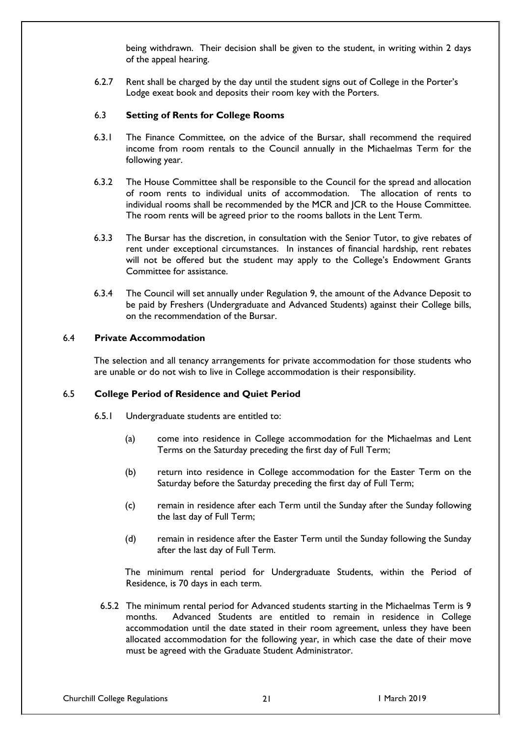being withdrawn. Their decision shall be given to the student, in writing within 2 days of the appeal hearing.

6.2.7 Rent shall be charged by the day until the student signs out of College in the Porter's Lodge exeat book and deposits their room key with the Porters.

### 6.3 **Setting of Rents for College Rooms**

- 6.3.1 The Finance Committee, on the advice of the Bursar, shall recommend the required income from room rentals to the Council annually in the Michaelmas Term for the following year.
- 6.3.2 The House Committee shall be responsible to the Council for the spread and allocation of room rents to individual units of accommodation. The allocation of rents to individual rooms shall be recommended by the MCR and JCR to the House Committee. The room rents will be agreed prior to the rooms ballots in the Lent Term.
- 6.3.3 The Bursar has the discretion, in consultation with the Senior Tutor, to give rebates of rent under exceptional circumstances. In instances of financial hardship, rent rebates will not be offered but the student may apply to the College's Endowment Grants Committee for assistance.
- 6.3.4 The Council will set annually under Regulation 9, the amount of the Advance Deposit to be paid by Freshers (Undergraduate and Advanced Students) against their College bills, on the recommendation of the Bursar.

#### 6.4 **Private Accommodation**

The selection and all tenancy arrangements for private accommodation for those students who are unable or do not wish to live in College accommodation is their responsibility.

## 6.5 **College Period of Residence and Quiet Period**

- 6.5.1 Undergraduate students are entitled to:
	- (a) come into residence in College accommodation for the Michaelmas and Lent Terms on the Saturday preceding the first day of Full Term;
	- (b) return into residence in College accommodation for the Easter Term on the Saturday before the Saturday preceding the first day of Full Term;
	- (c) remain in residence after each Term until the Sunday after the Sunday following the last day of Full Term;
	- (d) remain in residence after the Easter Term until the Sunday following the Sunday after the last day of Full Term.

The minimum rental period for Undergraduate Students, within the Period of Residence, is 70 days in each term.

6.5.2 The minimum rental period for Advanced students starting in the Michaelmas Term is 9 months. Advanced Students are entitled to remain in residence in College accommodation until the date stated in their room agreement, unless they have been allocated accommodation for the following year, in which case the date of their move must be agreed with the Graduate Student Administrator.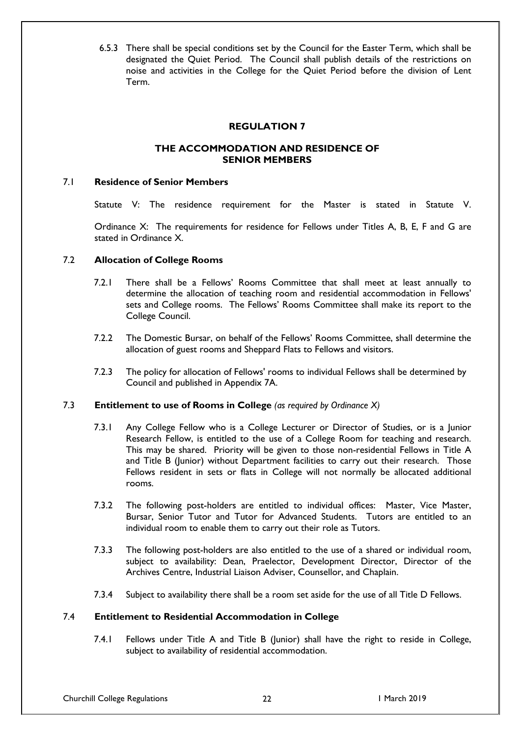6.5.3 There shall be special conditions set by the Council for the Easter Term, which shall be designated the Quiet Period. The Council shall publish details of the restrictions on noise and activities in the College for the Quiet Period before the division of Lent Term.

# **REGULATION 7**

# **THE ACCOMMODATION AND RESIDENCE OF SENIOR MEMBERS**

## 7.1 **Residence of Senior Members**

Statute V: The residence requirement for the Master is stated in Statute V.

Ordinance X: The requirements for residence for Fellows under Titles A, B, E, F and G are stated in Ordinance X.

## 7.2 **Allocation of College Rooms**

- 7.2.1 There shall be a Fellows' Rooms Committee that shall meet at least annually to determine the allocation of teaching room and residential accommodation in Fellows' sets and College rooms. The Fellows' Rooms Committee shall make its report to the College Council.
- 7.2.2 The Domestic Bursar, on behalf of the Fellows' Rooms Committee, shall determine the allocation of guest rooms and Sheppard Flats to Fellows and visitors.
- 7.2.3 The policy for allocation of Fellows' rooms to individual Fellows shall be determined by Council and published in Appendix 7A.

#### 7.3 **Entitlement to use of Rooms in College** *(as required by Ordinance X)*

- 7.3.1 Any College Fellow who is a College Lecturer or Director of Studies, or is a Junior Research Fellow, is entitled to the use of a College Room for teaching and research. This may be shared. Priority will be given to those non-residential Fellows in Title A and Title B (Junior) without Department facilities to carry out their research. Those Fellows resident in sets or flats in College will not normally be allocated additional rooms.
- 7.3.2 The following post-holders are entitled to individual offices: Master, Vice Master, Bursar, Senior Tutor and Tutor for Advanced Students. Tutors are entitled to an individual room to enable them to carry out their role as Tutors.
- 7.3.3 The following post-holders are also entitled to the use of a shared or individual room, subject to availability: Dean, Praelector, Development Director, Director of the Archives Centre, Industrial Liaison Adviser, Counsellor, and Chaplain.
- 7.3.4 Subject to availability there shall be a room set aside for the use of all Title D Fellows.

### 7.4 **Entitlement to Residential Accommodation in College**

7.4.1 Fellows under Title A and Title B (Junior) shall have the right to reside in College, subject to availability of residential accommodation.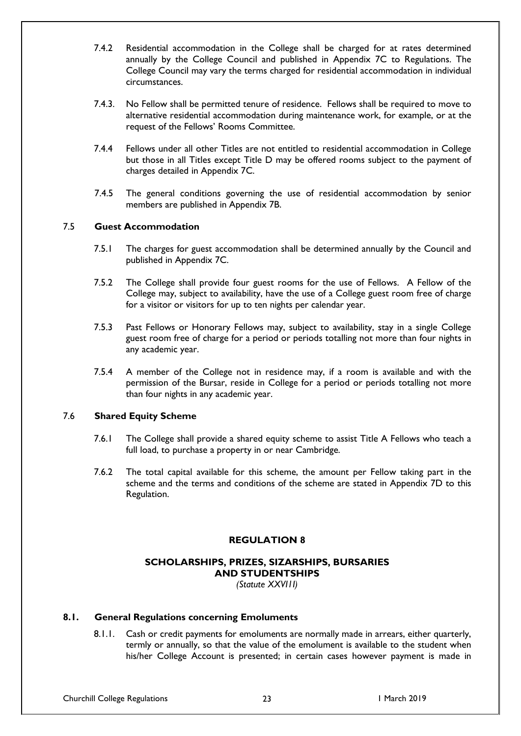- 7.4.2 Residential accommodation in the College shall be charged for at rates determined annually by the College Council and published in Appendix 7C to Regulations. The College Council may vary the terms charged for residential accommodation in individual circumstances.
- 7.4.3. No Fellow shall be permitted tenure of residence. Fellows shall be required to move to alternative residential accommodation during maintenance work, for example, or at the request of the Fellows' Rooms Committee.
- 7.4.4 Fellows under all other Titles are not entitled to residential accommodation in College but those in all Titles except Title D may be offered rooms subject to the payment of charges detailed in Appendix 7C.
- 7.4.5 The general conditions governing the use of residential accommodation by senior members are published in Appendix 7B.

# 7.5 **Guest Accommodation**

- 7.5.1 The charges for guest accommodation shall be determined annually by the Council and published in Appendix 7C.
- 7.5.2 The College shall provide four guest rooms for the use of Fellows. A Fellow of the College may, subject to availability, have the use of a College guest room free of charge for a visitor or visitors for up to ten nights per calendar year.
- 7.5.3 Past Fellows or Honorary Fellows may, subject to availability, stay in a single College guest room free of charge for a period or periods totalling not more than four nights in any academic year.
- 7.5.4 A member of the College not in residence may, if a room is available and with the permission of the Bursar, reside in College for a period or periods totalling not more than four nights in any academic year.

# 7.6 **Shared Equity Scheme**

- 7.6.1 The College shall provide a shared equity scheme to assist Title A Fellows who teach a full load, to purchase a property in or near Cambridge.
- 7.6.2 The total capital available for this scheme, the amount per Fellow taking part in the scheme and the terms and conditions of the scheme are stated in Appendix 7D to this Regulation.

# **REGULATION 8**

# **SCHOLARSHIPS, PRIZES, SIZARSHIPS, BURSARIES AND STUDENTSHIPS**

*(Statute XXVI1I)*

## **8.1. General Regulations concerning Emoluments**

8.1.1. Cash or credit payments for emoluments are normally made in arrears, either quarterly, termly or annually, so that the value of the emolument is available to the student when his/her College Account is presented; in certain cases however payment is made in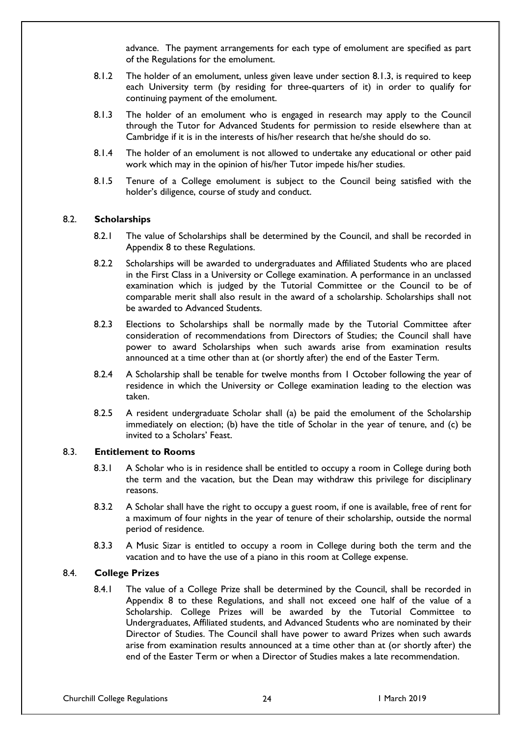advance. The payment arrangements for each type of emolument are specified as part of the Regulations for the emolument.

- 8.1.2 The holder of an emolument, unless given leave under section 8.1.3, is required to keep each University term (by residing for three-quarters of it) in order to qualify for continuing payment of the emolument.
- 8.1.3 The holder of an emolument who is engaged in research may apply to the Council through the Tutor for Advanced Students for permission to reside elsewhere than at Cambridge if it is in the interests of his/her research that he/she should do so.
- 8.1.4 The holder of an emolument is not allowed to undertake any educational or other paid work which may in the opinion of his/her Tutor impede his/her studies.
- 8.1.5 Tenure of a College emolument is subject to the Council being satisfied with the holder's diligence, course of study and conduct.

#### 8.2. **Scholarships**

- 8.2.1 The value of Scholarships shall be determined by the Council, and shall be recorded in Appendix 8 to these Regulations.
- 8.2.2 Scholarships will be awarded to undergraduates and Affiliated Students who are placed in the First Class in a University or College examination. A performance in an unclassed examination which is judged by the Tutorial Committee or the Council to be of comparable merit shall also result in the award of a scholarship. Scholarships shall not be awarded to Advanced Students.
- 8.2.3 Elections to Scholarships shall be normally made by the Tutorial Committee after consideration of recommendations from Directors of Studies; the Council shall have power to award Scholarships when such awards arise from examination results announced at a time other than at (or shortly after) the end of the Easter Term.
- 8.2.4 A Scholarship shall be tenable for twelve months from 1 October following the year of residence in which the University or College examination leading to the election was taken.
- 8.2.5 A resident undergraduate Scholar shall (a) be paid the emolument of the Scholarship immediately on election; (b) have the title of Scholar in the year of tenure, and (c) be invited to a Scholars' Feast.

#### 8.3. **Entitlement to Rooms**

- 8.3.1 A Scholar who is in residence shall be entitled to occupy a room in College during both the term and the vacation, but the Dean may withdraw this privilege for disciplinary reasons.
- 8.3.2 A Scholar shall have the right to occupy a guest room, if one is available, free of rent for a maximum of four nights in the year of tenure of their scholarship, outside the normal period of residence.
- 8.3.3 A Music Sizar is entitled to occupy a room in College during both the term and the vacation and to have the use of a piano in this room at College expense.

## 8.4. **College Prizes**

8.4.1 The value of a College Prize shall be determined by the Council, shall be recorded in Appendix 8 to these Regulations, and shall not exceed one half of the value of a Scholarship. College Prizes will be awarded by the Tutorial Committee to Undergraduates, Affiliated students, and Advanced Students who are nominated by their Director of Studies. The Council shall have power to award Prizes when such awards arise from examination results announced at a time other than at (or shortly after) the end of the Easter Term or when a Director of Studies makes a late recommendation.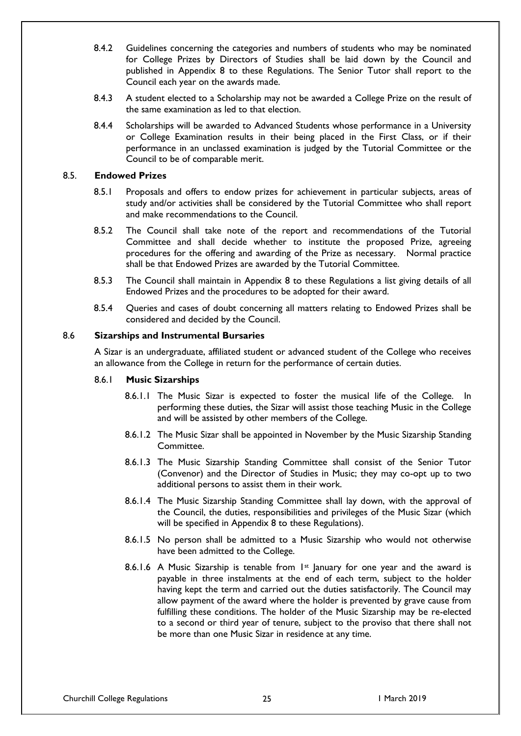- 8.4.2 Guidelines concerning the categories and numbers of students who may be nominated for College Prizes by Directors of Studies shall be laid down by the Council and published in Appendix 8 to these Regulations. The Senior Tutor shall report to the Council each year on the awards made.
- 8.4.3 A student elected to a Scholarship may not be awarded a College Prize on the result of the same examination as led to that election.
- 8.4.4 Scholarships will be awarded to Advanced Students whose performance in a University or College Examination results in their being placed in the First Class, or if their performance in an unclassed examination is judged by the Tutorial Committee or the Council to be of comparable merit.

## 8.5. **Endowed Prizes**

- 8.5.1 Proposals and offers to endow prizes for achievement in particular subjects, areas of study and/or activities shall be considered by the Tutorial Committee who shall report and make recommendations to the Council.
- 8.5.2 The Council shall take note of the report and recommendations of the Tutorial Committee and shall decide whether to institute the proposed Prize, agreeing procedures for the offering and awarding of the Prize as necessary. Normal practice shall be that Endowed Prizes are awarded by the Tutorial Committee.
- 8.5.3 The Council shall maintain in Appendix 8 to these Regulations a list giving details of all Endowed Prizes and the procedures to be adopted for their award.
- 8.5.4 Queries and cases of doubt concerning all matters relating to Endowed Prizes shall be considered and decided by the Council.

#### 8.6 **Sizarships and Instrumental Bursaries**

A Sizar is an undergraduate, affiliated student or advanced student of the College who receives an allowance from the College in return for the performance of certain duties.

#### 8.6.1 **Music Sizarships**

- 8.6.1.1 The Music Sizar is expected to foster the musical life of the College. In performing these duties, the Sizar will assist those teaching Music in the College and will be assisted by other members of the College.
- 8.6.1.2 The Music Sizar shall be appointed in November by the Music Sizarship Standing Committee.
- 8.6.1.3 The Music Sizarship Standing Committee shall consist of the Senior Tutor (Convenor) and the Director of Studies in Music; they may co-opt up to two additional persons to assist them in their work.
- 8.6.1.4 The Music Sizarship Standing Committee shall lay down, with the approval of the Council, the duties, responsibilities and privileges of the Music Sizar (which will be specified in Appendix 8 to these Regulations).
- 8.6.1.5 No person shall be admitted to a Music Sizarship who would not otherwise have been admitted to the College.
- 8.6.1.6 A Music Sizarship is tenable from  $1st$  January for one year and the award is payable in three instalments at the end of each term, subject to the holder having kept the term and carried out the duties satisfactorily. The Council may allow payment of the award where the holder is prevented by grave cause from fulfilling these conditions. The holder of the Music Sizarship may be re-elected to a second or third year of tenure, subject to the proviso that there shall not be more than one Music Sizar in residence at any time.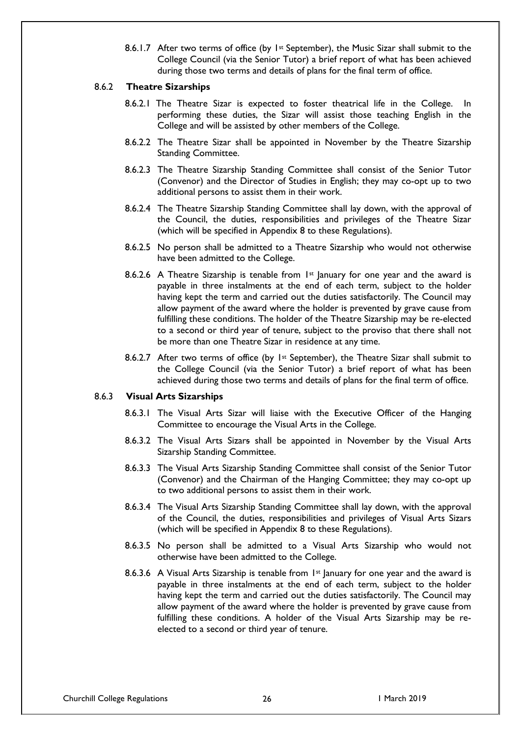8.6.1.7 After two terms of office (by  $1st$  September), the Music Sizar shall submit to the College Council (via the Senior Tutor) a brief report of what has been achieved during those two terms and details of plans for the final term of office.

# 8.6.2 **Theatre Sizarships**

- 8.6.2.1 The Theatre Sizar is expected to foster theatrical life in the College. In performing these duties, the Sizar will assist those teaching English in the College and will be assisted by other members of the College.
- 8.6.2.2 The Theatre Sizar shall be appointed in November by the Theatre Sizarship Standing Committee.
- 8.6.2.3 The Theatre Sizarship Standing Committee shall consist of the Senior Tutor (Convenor) and the Director of Studies in English; they may co-opt up to two additional persons to assist them in their work.
- 8.6.2.4 The Theatre Sizarship Standing Committee shall lay down, with the approval of the Council, the duties, responsibilities and privileges of the Theatre Sizar (which will be specified in Appendix 8 to these Regulations).
- 8.6.2.5 No person shall be admitted to a Theatre Sizarship who would not otherwise have been admitted to the College.
- 8.6.2.6 A Theatre Sizarship is tenable from  $1^{st}$  January for one year and the award is payable in three instalments at the end of each term, subject to the holder having kept the term and carried out the duties satisfactorily. The Council may allow payment of the award where the holder is prevented by grave cause from fulfilling these conditions. The holder of the Theatre Sizarship may be re-elected to a second or third year of tenure, subject to the proviso that there shall not be more than one Theatre Sizar in residence at any time.
- 8.6.2.7 After two terms of office (by  $1st$  September), the Theatre Sizar shall submit to the College Council (via the Senior Tutor) a brief report of what has been achieved during those two terms and details of plans for the final term of office.

## 8.6.3 **Visual Arts Sizarships**

- 8.6.3.1 The Visual Arts Sizar will liaise with the Executive Officer of the Hanging Committee to encourage the Visual Arts in the College.
- 8.6.3.2 The Visual Arts Sizars shall be appointed in November by the Visual Arts Sizarship Standing Committee.
- 8.6.3.3 The Visual Arts Sizarship Standing Committee shall consist of the Senior Tutor (Convenor) and the Chairman of the Hanging Committee; they may co-opt up to two additional persons to assist them in their work.
- 8.6.3.4 The Visual Arts Sizarship Standing Committee shall lay down, with the approval of the Council, the duties, responsibilities and privileges of Visual Arts Sizars (which will be specified in Appendix 8 to these Regulations).
- 8.6.3.5 No person shall be admitted to a Visual Arts Sizarship who would not otherwise have been admitted to the College.
- 8.6.3.6 A Visual Arts Sizarship is tenable from  $1st$  January for one year and the award is payable in three instalments at the end of each term, subject to the holder having kept the term and carried out the duties satisfactorily. The Council may allow payment of the award where the holder is prevented by grave cause from fulfilling these conditions. A holder of the Visual Arts Sizarship may be reelected to a second or third year of tenure.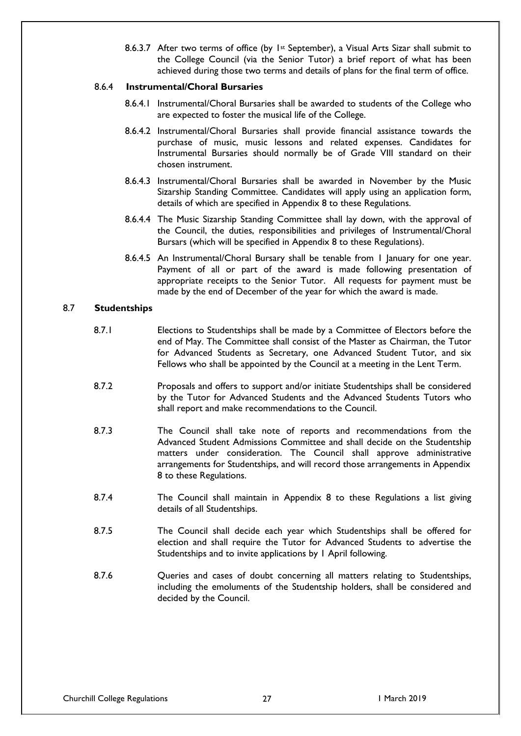8.6.3.7 After two terms of office (by  $1st$  September), a Visual Arts Sizar shall submit to the College Council (via the Senior Tutor) a brief report of what has been achieved during those two terms and details of plans for the final term of office.

# 8.6.4 **Instrumental/Choral Bursaries**

- 8.6.4.1 Instrumental/Choral Bursaries shall be awarded to students of the College who are expected to foster the musical life of the College.
- 8.6.4.2 Instrumental/Choral Bursaries shall provide financial assistance towards the purchase of music, music lessons and related expenses. Candidates for Instrumental Bursaries should normally be of Grade VIII standard on their chosen instrument.
- 8.6.4.3 Instrumental/Choral Bursaries shall be awarded in November by the Music Sizarship Standing Committee. Candidates will apply using an application form, details of which are specified in Appendix 8 to these Regulations.
- 8.6.4.4 The Music Sizarship Standing Committee shall lay down, with the approval of the Council, the duties, responsibilities and privileges of Instrumental/Choral Bursars (which will be specified in Appendix 8 to these Regulations).
- 8.6.4.5 An Instrumental/Choral Bursary shall be tenable from I January for one year. Payment of all or part of the award is made following presentation of appropriate receipts to the Senior Tutor. All requests for payment must be made by the end of December of the year for which the award is made.

# 8.7 **Studentships**

- 8.7.1 Elections to Studentships shall be made by a Committee of Electors before the end of May. The Committee shall consist of the Master as Chairman, the Tutor for Advanced Students as Secretary, one Advanced Student Tutor, and six Fellows who shall be appointed by the Council at a meeting in the Lent Term.
- 8.7.2 Proposals and offers to support and/or initiate Studentships shall be considered by the Tutor for Advanced Students and the Advanced Students Tutors who shall report and make recommendations to the Council.
- 8.7.3 The Council shall take note of reports and recommendations from the Advanced Student Admissions Committee and shall decide on the Studentship matters under consideration. The Council shall approve administrative arrangements for Studentships, and will record those arrangements in Appendix 8 to these Regulations.
- 8.7.4 The Council shall maintain in Appendix 8 to these Regulations a list giving details of all Studentships.
- 8.7.5 The Council shall decide each year which Studentships shall be offered for election and shall require the Tutor for Advanced Students to advertise the Studentships and to invite applications by 1 April following.
- 8.7.6 Queries and cases of doubt concerning all matters relating to Studentships, including the emoluments of the Studentship holders, shall be considered and decided by the Council.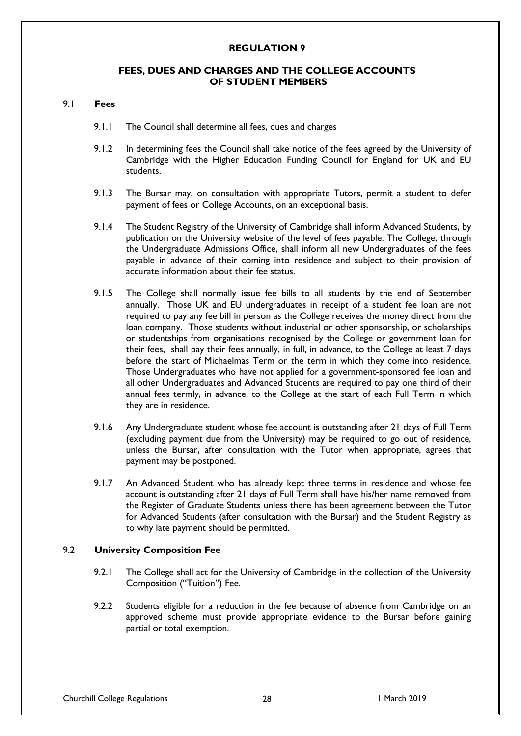## **REGULATION 9**

## **FEES, DUES AND CHARGES AND THE COLLEGE ACCOUNTS OF STUDENT MEMBERS**

#### 9.1 **Fees**

- 9.1.1 The Council shall determine all fees, dues and charges
- 9.1.2 In determining fees the Council shall take notice of the fees agreed by the University of Cambridge with the Higher Education Funding Council for England for UK and EU students.
- 9.1.3 The Bursar may, on consultation with appropriate Tutors, permit a student to defer payment of fees or College Accounts, on an exceptional basis.
- 9.1.4 The Student Registry of the University of Cambridge shall inform Advanced Students, by publication on the University website of the level of fees payable. The College, through the Undergraduate Admissions Office, shall inform all new Undergraduates of the fees payable in advance of their coming into residence and subject to their provision of accurate information about their fee status.
- 9.1.5 The College shall normally issue fee bills to all students by the end of September annually. Those UK and EU undergraduates in receipt of a student fee loan are not required to pay any fee bill in person as the College receives the money direct from the loan company. Those students without industrial or other sponsorship, or scholarships or studentships from organisations recognised by the College or government loan for their fees, shall pay their fees annually, in full, in advance, to the College at least 7 days before the start of Michaelmas Term or the term in which they come into residence. Those Undergraduates who have not applied for a government-sponsored fee loan and all other Undergraduates and Advanced Students are required to pay one third of their annual fees termly, in advance, to the College at the start of each Full Term in which they are in residence.
- 9.1.6 Any Undergraduate student whose fee account is outstanding after 21 days of Full Term (excluding payment due from the University) may be required to go out of residence, unless the Bursar, after consultation with the Tutor when appropriate, agrees that payment may be postponed.
- 9.1.7 An Advanced Student who has already kept three terms in residence and whose fee account is outstanding after 21 days of Full Term shall have his/her name removed from the Register of Graduate Students unless there has been agreement between the Tutor for Advanced Students (after consultation with the Bursar) and the Student Registry as to why late payment should be permitted.

## 9.2 **University Composition Fee**

- 9.2.1 The College shall act for the University of Cambridge in the collection of the University Composition ("Tuition") Fee.
- 9.2.2 Students eligible for a reduction in the fee because of absence from Cambridge on an approved scheme must provide appropriate evidence to the Bursar before gaining partial or total exemption.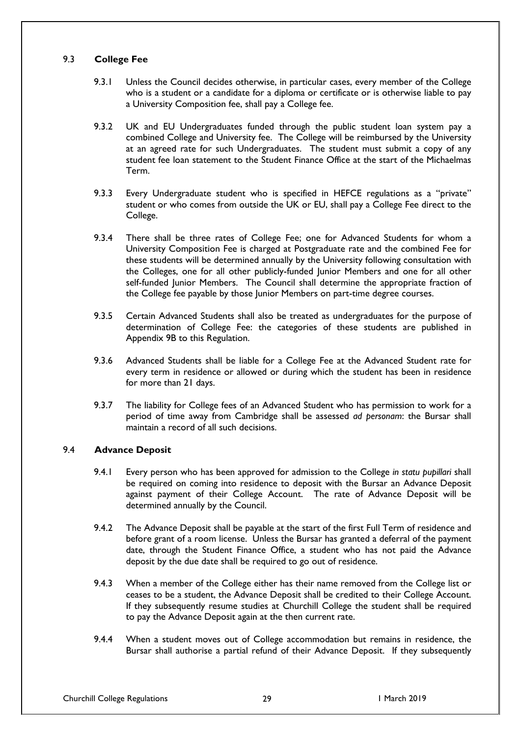# 9.3 **College Fee**

- 9.3.1 Unless the Council decides otherwise, in particular cases, every member of the College who is a student or a candidate for a diploma or certificate or is otherwise liable to pay a University Composition fee, shall pay a College fee.
- 9.3.2 UK and EU Undergraduates funded through the public student loan system pay a combined College and University fee. The College will be reimbursed by the University at an agreed rate for such Undergraduates. The student must submit a copy of any student fee loan statement to the Student Finance Office at the start of the Michaelmas Term.
- 9.3.3 Every Undergraduate student who is specified in HEFCE regulations as a "private" student or who comes from outside the UK or EU, shall pay a College Fee direct to the College.
- 9.3.4 There shall be three rates of College Fee; one for Advanced Students for whom a University Composition Fee is charged at Postgraduate rate and the combined Fee for these students will be determined annually by the University following consultation with the Colleges, one for all other publicly-funded Junior Members and one for all other self-funded Junior Members. The Council shall determine the appropriate fraction of the College fee payable by those Junior Members on part-time degree courses.
- 9.3.5 Certain Advanced Students shall also be treated as undergraduates for the purpose of determination of College Fee: the categories of these students are published in Appendix 9B to this Regulation.
- 9.3.6 Advanced Students shall be liable for a College Fee at the Advanced Student rate for every term in residence or allowed or during which the student has been in residence for more than 21 days.
- 9.3.7 The liability for College fees of an Advanced Student who has permission to work for a period of time away from Cambridge shall be assessed *ad personam*: the Bursar shall maintain a record of all such decisions.

## 9.4 **Advance Deposit**

- 9.4.1 Every person who has been approved for admission to the College *in statu pupillari* shall be required on coming into residence to deposit with the Bursar an Advance Deposit against payment of their College Account. The rate of Advance Deposit will be determined annually by the Council.
- 9.4.2 The Advance Deposit shall be payable at the start of the first Full Term of residence and before grant of a room license. Unless the Bursar has granted a deferral of the payment date, through the Student Finance Office, a student who has not paid the Advance deposit by the due date shall be required to go out of residence.
- 9.4.3 When a member of the College either has their name removed from the College list or ceases to be a student, the Advance Deposit shall be credited to their College Account. If they subsequently resume studies at Churchill College the student shall be required to pay the Advance Deposit again at the then current rate.
- 9.4.4 When a student moves out of College accommodation but remains in residence, the Bursar shall authorise a partial refund of their Advance Deposit. If they subsequently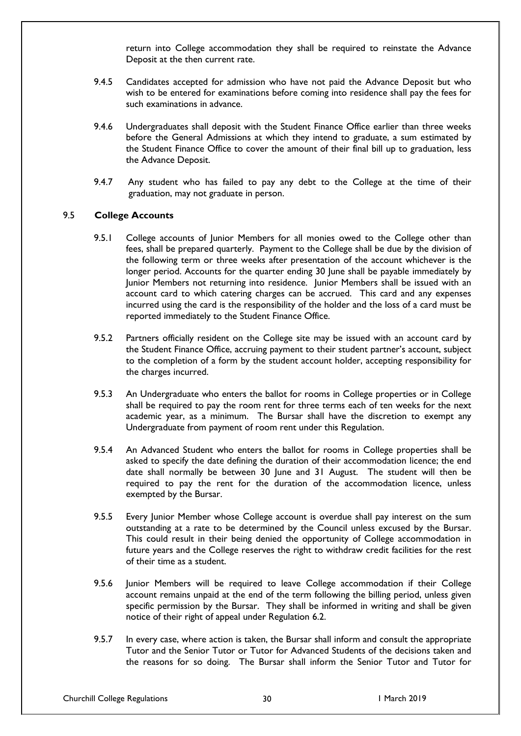return into College accommodation they shall be required to reinstate the Advance Deposit at the then current rate.

- 9.4.5 Candidates accepted for admission who have not paid the Advance Deposit but who wish to be entered for examinations before coming into residence shall pay the fees for such examinations in advance.
- 9.4.6 Undergraduates shall deposit with the Student Finance Office earlier than three weeks before the General Admissions at which they intend to graduate, a sum estimated by the Student Finance Office to cover the amount of their final bill up to graduation, less the Advance Deposit.
- 9.4.7 Any student who has failed to pay any debt to the College at the time of their graduation, may not graduate in person.

# 9.5 **College Accounts**

- 9.5.1 College accounts of Junior Members for all monies owed to the College other than fees, shall be prepared quarterly. Payment to the College shall be due by the division of the following term or three weeks after presentation of the account whichever is the longer period. Accounts for the quarter ending 30 June shall be payable immediately by Junior Members not returning into residence. Junior Members shall be issued with an account card to which catering charges can be accrued. This card and any expenses incurred using the card is the responsibility of the holder and the loss of a card must be reported immediately to the Student Finance Office.
- 9.5.2 Partners officially resident on the College site may be issued with an account card by the Student Finance Office, accruing payment to their student partner's account, subject to the completion of a form by the student account holder, accepting responsibility for the charges incurred.
- 9.5.3 An Undergraduate who enters the ballot for rooms in College properties or in College shall be required to pay the room rent for three terms each of ten weeks for the next academic year, as a minimum. The Bursar shall have the discretion to exempt any Undergraduate from payment of room rent under this Regulation.
- 9.5.4 An Advanced Student who enters the ballot for rooms in College properties shall be asked to specify the date defining the duration of their accommodation licence; the end date shall normally be between 30 June and 31 August. The student will then be required to pay the rent for the duration of the accommodation licence, unless exempted by the Bursar.
- 9.5.5 Every Junior Member whose College account is overdue shall pay interest on the sum outstanding at a rate to be determined by the Council unless excused by the Bursar. This could result in their being denied the opportunity of College accommodation in future years and the College reserves the right to withdraw credit facilities for the rest of their time as a student.
- 9.5.6 Junior Members will be required to leave College accommodation if their College account remains unpaid at the end of the term following the billing period, unless given specific permission by the Bursar. They shall be informed in writing and shall be given notice of their right of appeal under Regulation 6.2.
- 9.5.7 In every case, where action is taken, the Bursar shall inform and consult the appropriate Tutor and the Senior Tutor or Tutor for Advanced Students of the decisions taken and the reasons for so doing. The Bursar shall inform the Senior Tutor and Tutor for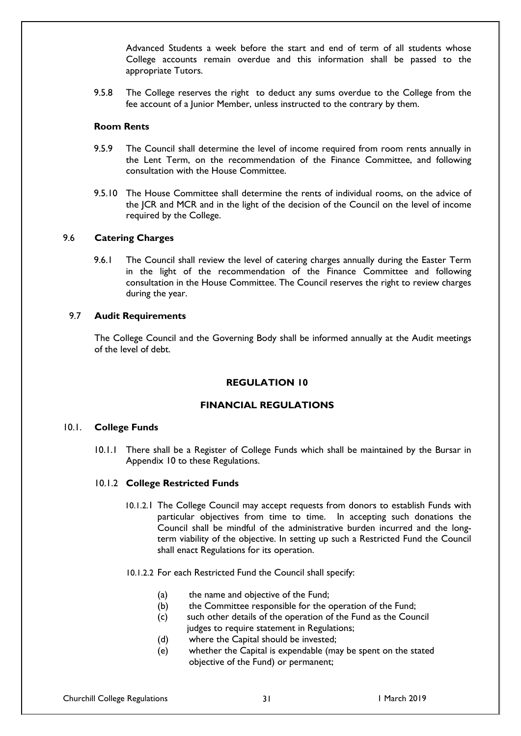Advanced Students a week before the start and end of term of all students whose College accounts remain overdue and this information shall be passed to the appropriate Tutors.

9.5.8 The College reserves the right to deduct any sums overdue to the College from the fee account of a Junior Member, unless instructed to the contrary by them.

#### **Room Rents**

- 9.5.9 The Council shall determine the level of income required from room rents annually in the Lent Term, on the recommendation of the Finance Committee, and following consultation with the House Committee.
- 9.5.10 The House Committee shall determine the rents of individual rooms, on the advice of the JCR and MCR and in the light of the decision of the Council on the level of income required by the College.

## 9.6 **Catering Charges**

9.6.1 The Council shall review the level of catering charges annually during the Easter Term in the light of the recommendation of the Finance Committee and following consultation in the House Committee. The Council reserves the right to review charges during the year.

#### 9.7 **Audit Requirements**

The College Council and the Governing Body shall be informed annually at the Audit meetings of the level of debt.

#### **REGULATION 10**

#### **FINANCIAL REGULATIONS**

# 10.1. **College Funds**

10.1.1 There shall be a Register of College Funds which shall be maintained by the Bursar in Appendix 10 to these Regulations.

#### 10.1.2 **College Restricted Funds**

10.1.2.1 The College Council may accept requests from donors to establish Funds with particular objectives from time to time. In accepting such donations the Council shall be mindful of the administrative burden incurred and the longterm viability of the objective. In setting up such a Restricted Fund the Council shall enact Regulations for its operation.

#### 10.1.2.2 For each Restricted Fund the Council shall specify:

- (a) the name and objective of the Fund;
- (b) the Committee responsible for the operation of the Fund;
- (c) such other details of the operation of the Fund as the Council
- judges to require statement in Regulations;
- (d) where the Capital should be invested;
- (e) whether the Capital is expendable (may be spent on the stated objective of the Fund) or permanent;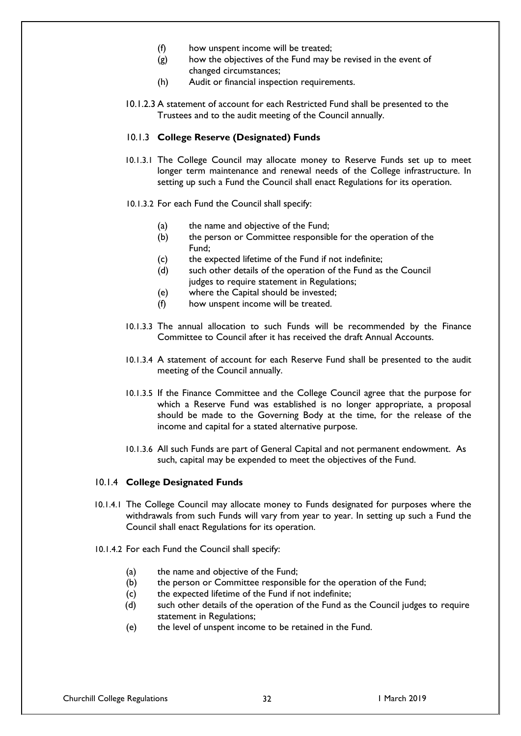- (f) how unspent income will be treated;
- (g) how the objectives of the Fund may be revised in the event of changed circumstances;
- (h) Audit or financial inspection requirements.
- 10.1.2.3 A statement of account for each Restricted Fund shall be presented to the Trustees and to the audit meeting of the Council annually.

#### 10.1.3 **College Reserve (Designated) Funds**

- 10.1.3.1 The College Council may allocate money to Reserve Funds set up to meet longer term maintenance and renewal needs of the College infrastructure. In setting up such a Fund the Council shall enact Regulations for its operation.
- 10.1.3.2 For each Fund the Council shall specify:
	- (a) the name and objective of the Fund;
	- (b) the person or Committee responsible for the operation of the Fund;
	- (c) the expected lifetime of the Fund if not indefinite;
	- (d) such other details of the operation of the Fund as the Council judges to require statement in Regulations;
	- (e) where the Capital should be invested;
	- (f) how unspent income will be treated.
- 10.1.3.3 The annual allocation to such Funds will be recommended by the Finance Committee to Council after it has received the draft Annual Accounts.
- 10.1.3.4 A statement of account for each Reserve Fund shall be presented to the audit meeting of the Council annually.
- 10.1.3.5 If the Finance Committee and the College Council agree that the purpose for which a Reserve Fund was established is no longer appropriate, a proposal should be made to the Governing Body at the time, for the release of the income and capital for a stated alternative purpose.
- 10.1.3.6 All such Funds are part of General Capital and not permanent endowment. As such, capital may be expended to meet the objectives of the Fund.

## 10.1.4 **College Designated Funds**

- 10.1.4.1 The College Council may allocate money to Funds designated for purposes where the withdrawals from such Funds will vary from year to year. In setting up such a Fund the Council shall enact Regulations for its operation.
- 10.1.4.2 For each Fund the Council shall specify:
	- (a) the name and objective of the Fund;
	- (b) the person or Committee responsible for the operation of the Fund;
	- (c) the expected lifetime of the Fund if not indefinite;
	- (d) such other details of the operation of the Fund as the Council judges to require statement in Regulations;
	- (e) the level of unspent income to be retained in the Fund.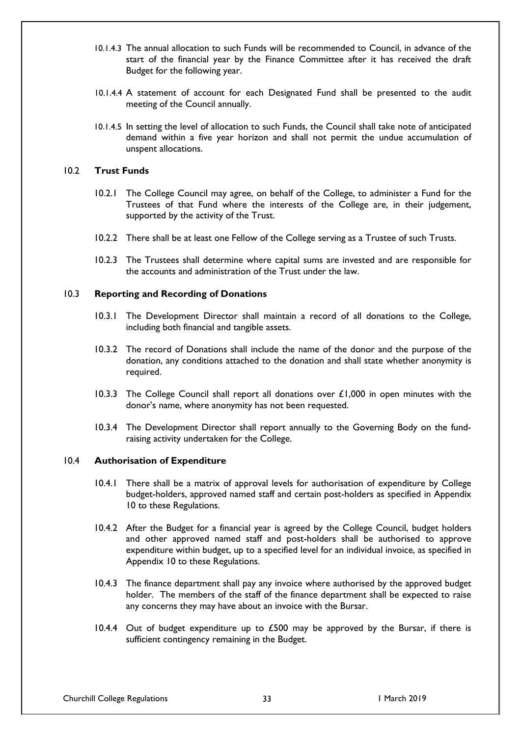- 10.1.4.3 The annual allocation to such Funds will be recommended to Council, in advance of the start of the financial year by the Finance Committee after it has received the draft Budget for the following year.
- 10.1.4.4 A statement of account for each Designated Fund shall be presented to the audit meeting of the Council annually.
- 10.1.4.5 In setting the level of allocation to such Funds, the Council shall take note of anticipated demand within a five year horizon and shall not permit the undue accumulation of unspent allocations.

## 10.2 **Trust Funds**

- 10.2.1 The College Council may agree, on behalf of the College, to administer a Fund for the Trustees of that Fund where the interests of the College are, in their judgement, supported by the activity of the Trust.
- 10.2.2 There shall be at least one Fellow of the College serving as a Trustee of such Trusts.
- 10.2.3 The Trustees shall determine where capital sums are invested and are responsible for the accounts and administration of the Trust under the law.

## 10.3 **Reporting and Recording of Donations**

- 10.3.1 The Development Director shall maintain a record of all donations to the College, including both financial and tangible assets.
- 10.3.2 The record of Donations shall include the name of the donor and the purpose of the donation, any conditions attached to the donation and shall state whether anonymity is required.
- 10.3.3 The College Council shall report all donations over  $\pounds$ 1,000 in open minutes with the donor's name, where anonymity has not been requested.
- 10.3.4 The Development Director shall report annually to the Governing Body on the fundraising activity undertaken for the College.

## 10.4 **Authorisation of Expenditure**

- 10.4.1 There shall be a matrix of approval levels for authorisation of expenditure by College budget-holders, approved named staff and certain post-holders as specified in Appendix 10 to these Regulations.
- 10.4.2 After the Budget for a financial year is agreed by the College Council, budget holders and other approved named staff and post-holders shall be authorised to approve expenditure within budget, up to a specified level for an individual invoice, as specified in Appendix 10 to these Regulations.
- 10.4.3 The finance department shall pay any invoice where authorised by the approved budget holder. The members of the staff of the finance department shall be expected to raise any concerns they may have about an invoice with the Bursar.
- 10.4.4 Out of budget expenditure up to  $£500$  may be approved by the Bursar, if there is sufficient contingency remaining in the Budget.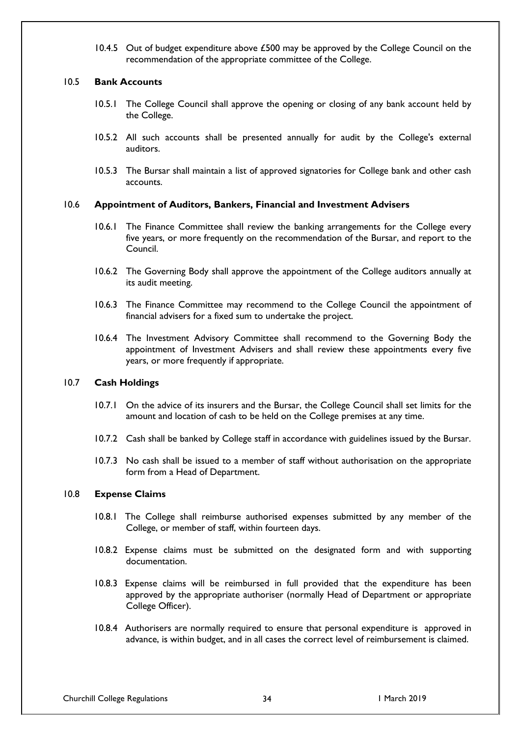10.4.5 Out of budget expenditure above £500 may be approved by the College Council on the recommendation of the appropriate committee of the College.

## 10.5 **Bank Accounts**

- 10.5.1 The College Council shall approve the opening or closing of any bank account held by the College.
- 10.5.2 All such accounts shall be presented annually for audit by the College's external auditors.
- 10.5.3 The Bursar shall maintain a list of approved signatories for College bank and other cash accounts.

#### 10.6 **Appointment of Auditors, Bankers, Financial and Investment Advisers**

- 10.6.1 The Finance Committee shall review the banking arrangements for the College every five years, or more frequently on the recommendation of the Bursar, and report to the Council.
- 10.6.2 The Governing Body shall approve the appointment of the College auditors annually at its audit meeting.
- 10.6.3 The Finance Committee may recommend to the College Council the appointment of financial advisers for a fixed sum to undertake the project.
- 10.6.4 The Investment Advisory Committee shall recommend to the Governing Body the appointment of Investment Advisers and shall review these appointments every five years, or more frequently if appropriate.

#### 10.7 **Cash Holdings**

- 10.7.1 On the advice of its insurers and the Bursar, the College Council shall set limits for the amount and location of cash to be held on the College premises at any time.
- 10.7.2 Cash shall be banked by College staff in accordance with guidelines issued by the Bursar.
- 10.7.3 No cash shall be issued to a member of staff without authorisation on the appropriate form from a Head of Department.

#### 10.8 **Expense Claims**

- 10.8.1 The College shall reimburse authorised expenses submitted by any member of the College, or member of staff, within fourteen days.
- 10.8.2 Expense claims must be submitted on the designated form and with supporting documentation.
- 10.8.3 Expense claims will be reimbursed in full provided that the expenditure has been approved by the appropriate authoriser (normally Head of Department or appropriate College Officer).
- 10.8.4 Authorisers are normally required to ensure that personal expenditure is approved in advance, is within budget, and in all cases the correct level of reimbursement is claimed.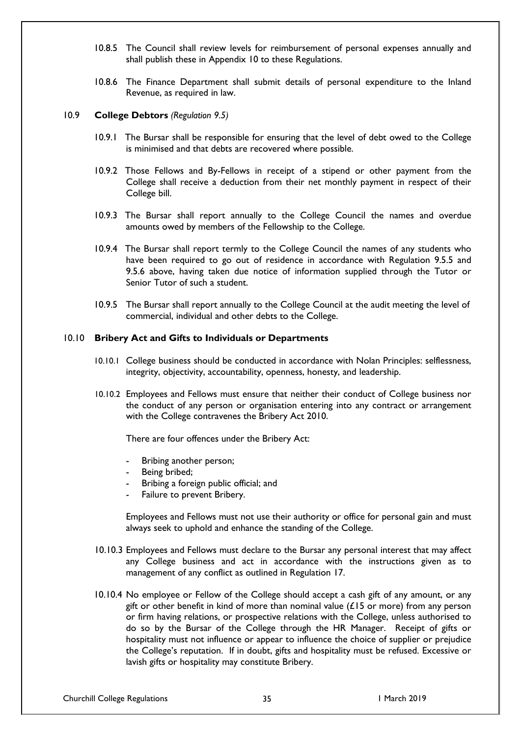- 10.8.5 The Council shall review levels for reimbursement of personal expenses annually and shall publish these in Appendix 10 to these Regulations.
- 10.8.6 The Finance Department shall submit details of personal expenditure to the Inland Revenue, as required in law.

#### 10.9 **College Debtors** *(Regulation 9.5)*

- 10.9.1 The Bursar shall be responsible for ensuring that the level of debt owed to the College is minimised and that debts are recovered where possible.
- 10.9.2 Those Fellows and By-Fellows in receipt of a stipend or other payment from the College shall receive a deduction from their net monthly payment in respect of their College bill.
- 10.9.3 The Bursar shall report annually to the College Council the names and overdue amounts owed by members of the Fellowship to the College.
- 10.9.4 The Bursar shall report termly to the College Council the names of any students who have been required to go out of residence in accordance with Regulation 9.5.5 and 9.5.6 above, having taken due notice of information supplied through the Tutor or Senior Tutor of such a student.
- 10.9.5 The Bursar shall report annually to the College Council at the audit meeting the level of commercial, individual and other debts to the College.

#### 10.10 **Bribery Act and Gifts to Individuals or Departments**

- 10.10.1 College business should be conducted in accordance with Nolan Principles: selflessness, integrity, objectivity, accountability, openness, honesty, and leadership.
- 10.10.2 Employees and Fellows must ensure that neither their conduct of College business nor the conduct of any person or organisation entering into any contract or arrangement with the College contravenes the Bribery Act 2010.

There are four offences under the Bribery Act:

- Bribing another person;
- Being bribed;
- Bribing a foreign public official; and
- Failure to prevent Bribery.

Employees and Fellows must not use their authority or office for personal gain and must always seek to uphold and enhance the standing of the College.

- 10.10.3 Employees and Fellows must declare to the Bursar any personal interest that may affect any College business and act in accordance with the instructions given as to management of any conflict as outlined in Regulation 17.
- 10.10.4 No employee or Fellow of the College should accept a cash gift of any amount, or any gift or other benefit in kind of more than nominal value ( $£15$  or more) from any person or firm having relations, or prospective relations with the College, unless authorised to do so by the Bursar of the College through the HR Manager. Receipt of gifts or hospitality must not influence or appear to influence the choice of supplier or prejudice the College's reputation. If in doubt, gifts and hospitality must be refused. Excessive or lavish gifts or hospitality may constitute Bribery.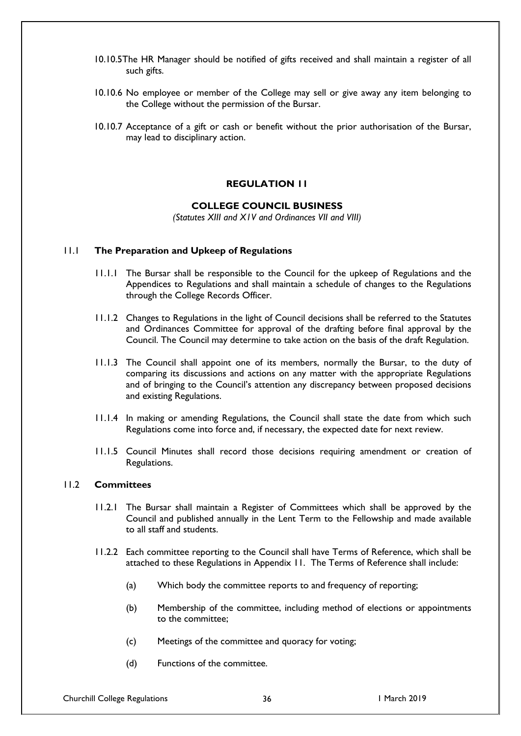- 10.10.5The HR Manager should be notified of gifts received and shall maintain a register of all such gifts.
- 10.10.6 No employee or member of the College may sell or give away any item belonging to the College without the permission of the Bursar.
- 10.10.7 Acceptance of a gift or cash or benefit without the prior authorisation of the Bursar, may lead to disciplinary action.

#### **REGULATION 11**

# **COLLEGE COUNCIL BUSINESS**

*(Statutes XIII and X1V and Ordinances VII and VIII)*

#### 11.1 **The Preparation and Upkeep of Regulations**

- 11.1.1 The Bursar shall be responsible to the Council for the upkeep of Regulations and the Appendices to Regulations and shall maintain a schedule of changes to the Regulations through the College Records Officer.
- 11.1.2 Changes to Regulations in the light of Council decisions shall be referred to the Statutes and Ordinances Committee for approval of the drafting before final approval by the Council. The Council may determine to take action on the basis of the draft Regulation.
- 11.1.3 The Council shall appoint one of its members, normally the Bursar, to the duty of comparing its discussions and actions on any matter with the appropriate Regulations and of bringing to the Council's attention any discrepancy between proposed decisions and existing Regulations.
- 11.1.4 In making or amending Regulations, the Council shall state the date from which such Regulations come into force and, if necessary, the expected date for next review.
- 11.1.5 Council Minutes shall record those decisions requiring amendment or creation of Regulations.

#### 11.2 **Committees**

- 11.2.1 The Bursar shall maintain a Register of Committees which shall be approved by the Council and published annually in the Lent Term to the Fellowship and made available to all staff and students.
- 11.2.2 Each committee reporting to the Council shall have Terms of Reference, which shall be attached to these Regulations in Appendix 11. The Terms of Reference shall include:
	- (a) Which body the committee reports to and frequency of reporting;
	- (b) Membership of the committee, including method of elections or appointments to the committee;
	- (c) Meetings of the committee and quoracy for voting;
	- (d) Functions of the committee.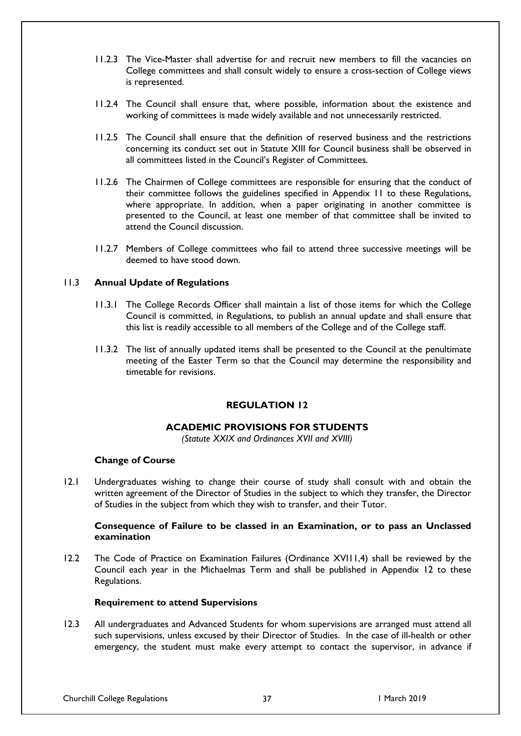- 11.2.3 The Vice-Master shall advertise for and recruit new members to fill the vacancies on College committees and shall consult widely to ensure a cross-section of College views is represented.
- 11.2.4 The Council shall ensure that, where possible, information about the existence and working of committees is made widely available and not unnecessarily restricted.
- 11.2.5 The Council shall ensure that the definition of reserved business and the restrictions concerning its conduct set out in Statute XIII for Council business shall be observed in all committees listed in the Council's Register of Committees.
- 11.2.6 The Chairmen of College committees are responsible for ensuring that the conduct of their committee follows the guidelines specified in Appendix 11 to these Regulations, where appropriate. In addition, when a paper originating in another committee is presented to the Council, at least one member of that committee shall be invited to attend the Council discussion.
- 11.2.7 Members of College committees who fail to attend three successive meetings will be deemed to have stood down.

## 11.3 **Annual Update of Regulations**

- 11.3.1 The College Records Officer shall maintain a list of those items for which the College Council is committed, in Regulations, to publish an annual update and shall ensure that this list is readily accessible to all members of the College and of the College staff.
- 11.3.2 The list of annually updated items shall be presented to the Council at the penultimate meeting of the Easter Term so that the Council may determine the responsibility and timetable for revisions.

# **REGULATION 12**

## **ACADEMIC PROVISIONS FOR STUDENTS**

*(Statute XXIX and Ordinances XVII and XVIII)*

## **Change of Course**

12.1 Undergraduates wishing to change their course of study shall consult with and obtain the written agreement of the Director of Studies in the subject to which they transfer, the Director of Studies in the subject from which they wish to transfer, and their Tutor.

## **Consequence of Failure to be classed in an Examination, or to pass an Unclassed examination**

12.2 The Code of Practice on Examination Failures (Ordinance XVII1,4) shall be reviewed by the Council each year in the Michaelmas Term and shall be published in Appendix 12 to these Regulations.

## **Requirement to attend Supervisions**

12.3 All undergraduates and Advanced Students for whom supervisions are arranged must attend all such supervisions, unless excused by their Director of Studies. In the case of ill-health or other emergency, the student must make every attempt to contact the supervisor, in advance if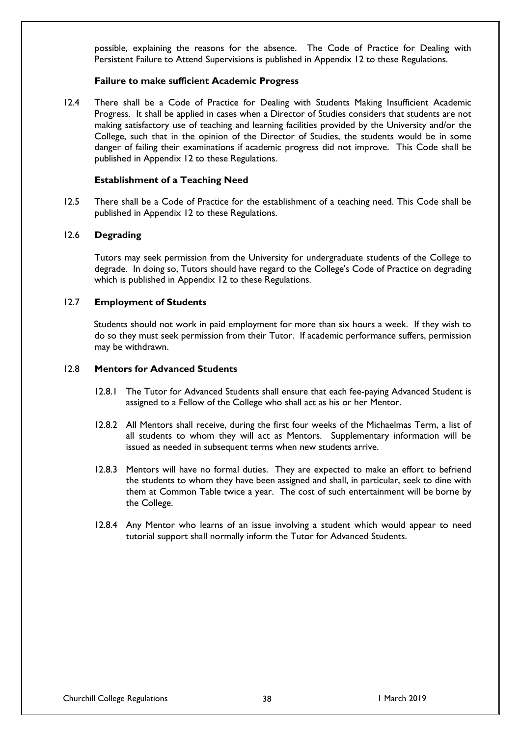possible, explaining the reasons for the absence. The Code of Practice for Dealing with Persistent Failure to Attend Supervisions is published in Appendix 12 to these Regulations.

## **Failure to make sufficient Academic Progress**

12.4 There shall be a Code of Practice for Dealing with Students Making Insufficient Academic Progress. It shall be applied in cases when a Director of Studies considers that students are not making satisfactory use of teaching and learning facilities provided by the University and/or the College, such that in the opinion of the Director of Studies, the students would be in some danger of failing their examinations if academic progress did not improve. This Code shall be published in Appendix 12 to these Regulations.

### **Establishment of a Teaching Need**

12.5 There shall be a Code of Practice for the establishment of a teaching need. This Code shall be published in Appendix 12 to these Regulations.

## 12.6 **Degrading**

Tutors may seek permission from the University for undergraduate students of the College to degrade. In doing so, Tutors should have regard to the College's Code of Practice on degrading which is published in Appendix 12 to these Regulations.

#### 12.7 **Employment of Students**

Students should not work in paid employment for more than six hours a week. If they wish to do so they must seek permission from their Tutor. If academic performance suffers, permission may be withdrawn.

## 12.8 **Mentors for Advanced Students**

- 12.8.1 The Tutor for Advanced Students shall ensure that each fee-paying Advanced Student is assigned to a Fellow of the College who shall act as his or her Mentor.
- 12.8.2 All Mentors shall receive, during the first four weeks of the Michaelmas Term, a list of all students to whom they will act as Mentors. Supplementary information will be issued as needed in subsequent terms when new students arrive.
- 12.8.3 Mentors will have no formal duties. They are expected to make an effort to befriend the students to whom they have been assigned and shall, in particular, seek to dine with them at Common Table twice a year. The cost of such entertainment will be borne by the College.
- 12.8.4 Any Mentor who learns of an issue involving a student which would appear to need tutorial support shall normally inform the Tutor for Advanced Students.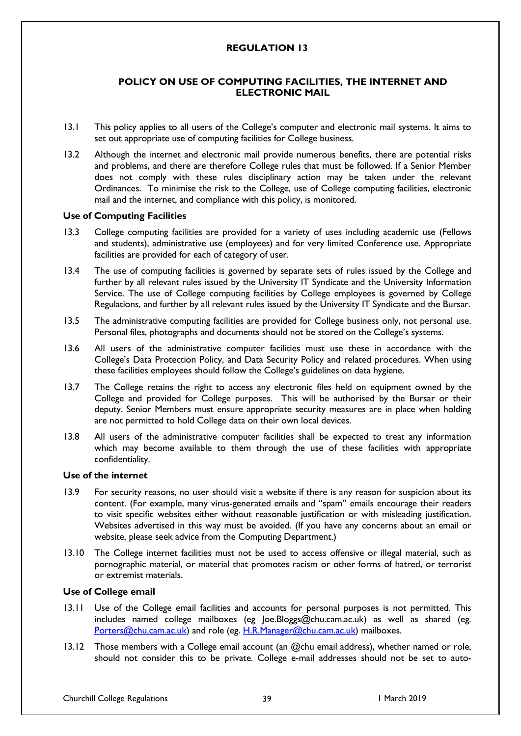# **REGULATION 13**

# **POLICY ON USE OF COMPUTING FACILITIES, THE INTERNET AND ELECTRONIC MAIL**

- 13.1 This policy applies to all users of the College's computer and electronic mail systems. It aims to set out appropriate use of computing facilities for College business.
- 13.2 Although the internet and electronic mail provide numerous benefits, there are potential risks and problems, and there are therefore College rules that must be followed. If a Senior Member does not comply with these rules disciplinary action may be taken under the relevant Ordinances. To minimise the risk to the College, use of College computing facilities, electronic mail and the internet, and compliance with this policy, is monitored.

## **Use of Computing Facilities**

- 13.3 College computing facilities are provided for a variety of uses including academic use (Fellows and students), administrative use (employees) and for very limited Conference use. Appropriate facilities are provided for each of category of user.
- 13.4 The use of computing facilities is governed by separate sets of rules issued by the College and further by all relevant rules issued by the University IT Syndicate and the University Information Service. The use of College computing facilities by College employees is governed by College Regulations, and further by all relevant rules issued by the University IT Syndicate and the Bursar.
- 13.5 The administrative computing facilities are provided for College business only, not personal use. Personal files, photographs and documents should not be stored on the College's systems.
- 13.6 All users of the administrative computer facilities must use these in accordance with the College's Data Protection Policy, and Data Security Policy and related procedures. When using these facilities employees should follow the College's guidelines on data hygiene.
- 13.7 The College retains the right to access any electronic files held on equipment owned by the College and provided for College purposes. This will be authorised by the Bursar or their deputy. Senior Members must ensure appropriate security measures are in place when holding are not permitted to hold College data on their own local devices.
- 13.8 All users of the administrative computer facilities shall be expected to treat any information which may become available to them through the use of these facilities with appropriate confidentiality.

## **Use of the internet**

- 13.9 For security reasons, no user should visit a website if there is any reason for suspicion about its content. (For example, many virus-generated emails and "spam" emails encourage their readers to visit specific websites either without reasonable justification or with misleading justification. Websites advertised in this way must be avoided. (If you have any concerns about an email or website, please seek advice from the Computing Department.)
- 13.10 The College internet facilities must not be used to access offensive or illegal material, such as pornographic material, or material that promotes racism or other forms of hatred, or terrorist or extremist materials.

# **Use of College email**

- 13.11 Use of the College email facilities and accounts for personal purposes is not permitted. This includes named college mailboxes (eg Joe.Bloggs@chu.cam.ac.uk) as well as shared (eg. [Porters@chu.cam.ac.uk\)](mailto:Porters@chu.cam.ac.uk) and role (eg. [H.R.Manager@chu.cam.ac.uk\)](mailto:H.R.Manager@chu.cam.ac.uk) mailboxes.
- 13.12 Those members with a College email account (an @chu email address), whether named or role, should not consider this to be private. College e-mail addresses should not be set to auto-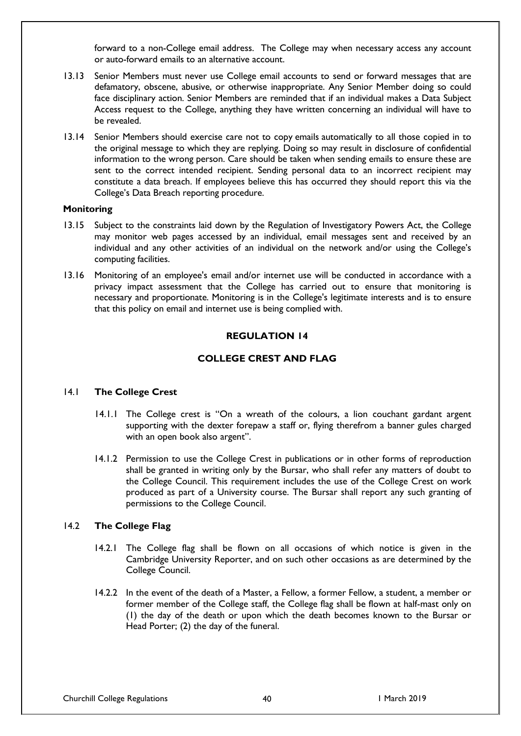forward to a non-College email address. The College may when necessary access any account or auto-forward emails to an alternative account.

- 13.13 Senior Members must never use College email accounts to send or forward messages that are defamatory, obscene, abusive, or otherwise inappropriate. Any Senior Member doing so could face disciplinary action. Senior Members are reminded that if an individual makes a Data Subject Access request to the College, anything they have written concerning an individual will have to be revealed.
- 13.14 Senior Members should exercise care not to copy emails automatically to all those copied in to the original message to which they are replying. Doing so may result in disclosure of confidential information to the wrong person. Care should be taken when sending emails to ensure these are sent to the correct intended recipient. Sending personal data to an incorrect recipient may constitute a data breach. If employees believe this has occurred they should report this via the College's Data Breach reporting procedure.

#### **Monitoring**

- 13.15 Subject to the constraints laid down by the Regulation of Investigatory Powers Act, the College may monitor web pages accessed by an individual, email messages sent and received by an individual and any other activities of an individual on the network and/or using the College's computing facilities.
- 13.16 Monitoring of an employee's email and/or internet use will be conducted in accordance with a privacy impact assessment that the College has carried out to ensure that monitoring is necessary and proportionate. Monitoring is in the College's legitimate interests and is to ensure that this policy on email and internet use is being complied with.

#### **REGULATION 14**

# **COLLEGE CREST AND FLAG**

## 14.1 **The College Crest**

- 14.1.1 The College crest is "On a wreath of the colours, a lion couchant gardant argent supporting with the dexter forepaw a staff or, flying therefrom a banner gules charged with an open book also argent".
- 14.1.2 Permission to use the College Crest in publications or in other forms of reproduction shall be granted in writing only by the Bursar, who shall refer any matters of doubt to the College Council. This requirement includes the use of the College Crest on work produced as part of a University course. The Bursar shall report any such granting of permissions to the College Council.

## 14.2 **The College Flag**

- 14.2.1 The College flag shall be flown on all occasions of which notice is given in the Cambridge University Reporter, and on such other occasions as are determined by the College Council.
- 14.2.2 In the event of the death of a Master, a Fellow, a former Fellow, a student, a member or former member of the College staff, the College flag shall be flown at half-mast only on (1) the day of the death or upon which the death becomes known to the Bursar or Head Porter; (2) the day of the funeral.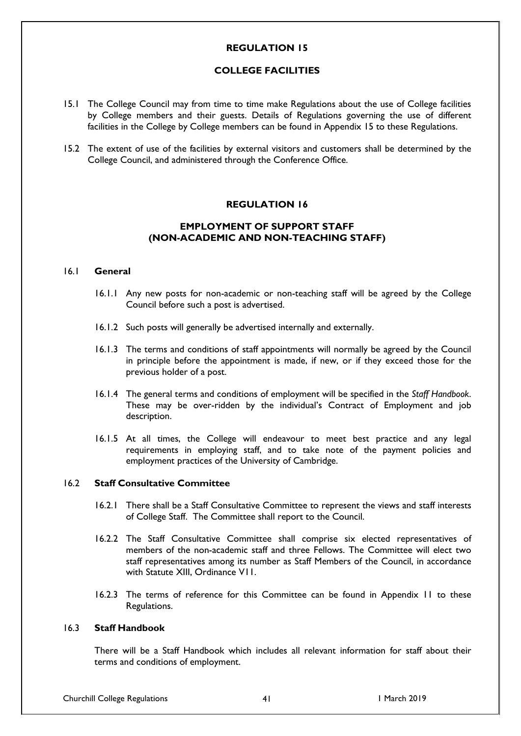## **REGULATION 15**

## **COLLEGE FACILITIES**

- 15.1 The College Council may from time to time make Regulations about the use of College facilities by College members and their guests. Details of Regulations governing the use of different facilities in the College by College members can be found in Appendix 15 to these Regulations.
- 15.2 The extent of use of the facilities by external visitors and customers shall be determined by the College Council, and administered through the Conference Office.

## **REGULATION 16**

# **EMPLOYMENT OF SUPPORT STAFF (NON-ACADEMIC AND NON-TEACHING STAFF)**

#### 16.1 **General**

- 16.1.1 Any new posts for non-academic or non-teaching staff will be agreed by the College Council before such a post is advertised.
- 16.1.2 Such posts will generally be advertised internally and externally.
- 16.1.3 The terms and conditions of staff appointments will normally be agreed by the Council in principle before the appointment is made, if new, or if they exceed those for the previous holder of a post.
- 16.1.4 The general terms and conditions of employment will be specified in the *Staff Handbook*. These may be over-ridden by the individual's Contract of Employment and job description.
- 16.1.5 At all times, the College will endeavour to meet best practice and any legal requirements in employing staff, and to take note of the payment policies and employment practices of the University of Cambridge.

## 16.2 **Staff Consultative Committee**

- 16.2.1 There shall be a Staff Consultative Committee to represent the views and staff interests of College Staff. The Committee shall report to the Council.
- 16.2.2 The Staff Consultative Committee shall comprise six elected representatives of members of the non-academic staff and three Fellows. The Committee will elect two staff representatives among its number as Staff Members of the Council, in accordance with Statute XIII, Ordinance V11.
- 16.2.3 The terms of reference for this Committee can be found in Appendix 11 to these Regulations.

# 16.3 **Staff Handbook**

There will be a Staff Handbook which includes all relevant information for staff about their terms and conditions of employment.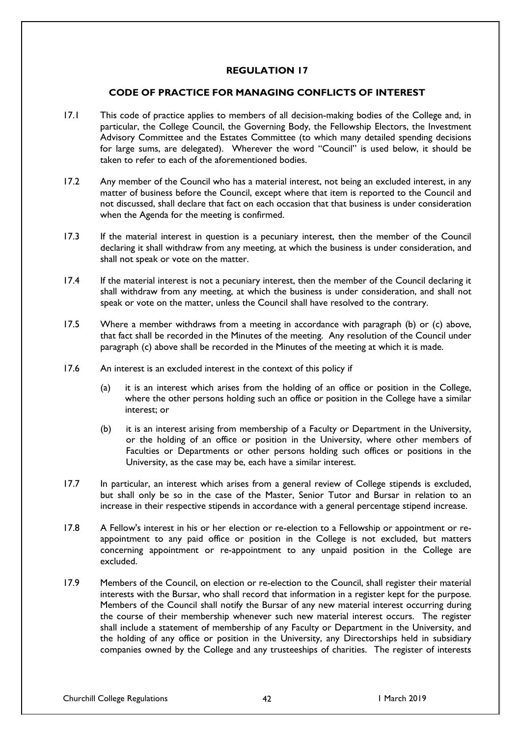# **REGULATION 17**

# **CODE OF PRACTICE FOR MANAGING CONFLICTS OF INTEREST**

- 17.1 This code of practice applies to members of all decision-making bodies of the College and, in particular, the College Council, the Governing Body, the Fellowship Electors, the Investment Advisory Committee and the Estates Committee (to which many detailed spending decisions for large sums, are delegated). Wherever the word "Council" is used below, it should be taken to refer to each of the aforementioned bodies.
- 17.2 Any member of the Council who has a material interest, not being an excluded interest, in any matter of business before the Council, except where that item is reported to the Council and not discussed, shall declare that fact on each occasion that that business is under consideration when the Agenda for the meeting is confirmed.
- 17.3 If the material interest in question is a pecuniary interest, then the member of the Council declaring it shall withdraw from any meeting, at which the business is under consideration, and shall not speak or vote on the matter.
- 17.4 If the material interest is not a pecuniary interest, then the member of the Council declaring it shall withdraw from any meeting, at which the business is under consideration, and shall not speak or vote on the matter, unless the Council shall have resolved to the contrary.
- 17.5 Where a member withdraws from a meeting in accordance with paragraph (b) or (c) above, that fact shall be recorded in the Minutes of the meeting. Any resolution of the Council under paragraph (c) above shall be recorded in the Minutes of the meeting at which it is made.
- 17.6 An interest is an excluded interest in the context of this policy if
	- (a) it is an interest which arises from the holding of an office or position in the College, where the other persons holding such an office or position in the College have a similar interest; or
	- (b) it is an interest arising from membership of a Faculty or Department in the University, or the holding of an office or position in the University, where other members of Faculties or Departments or other persons holding such offices or positions in the University, as the case may be, each have a similar interest.
- 17.7 In particular, an interest which arises from a general review of College stipends is excluded, but shall only be so in the case of the Master, Senior Tutor and Bursar in relation to an increase in their respective stipends in accordance with a general percentage stipend increase.
- 17.8 A Fellow's interest in his or her election or re-election to a Fellowship or appointment or reappointment to any paid office or position in the College is not excluded, but matters concerning appointment or re-appointment to any unpaid position in the College are excluded.
- 17.9 Members of the Council, on election or re-election to the Council, shall register their material interests with the Bursar, who shall record that information in a register kept for the purpose. Members of the Council shall notify the Bursar of any new material interest occurring during the course of their membership whenever such new material interest occurs. The register shall include a statement of membership of any Faculty or Department in the University, and the holding of any office or position in the University, any Directorships held in subsidiary companies owned by the College and any trusteeships of charities. The register of interests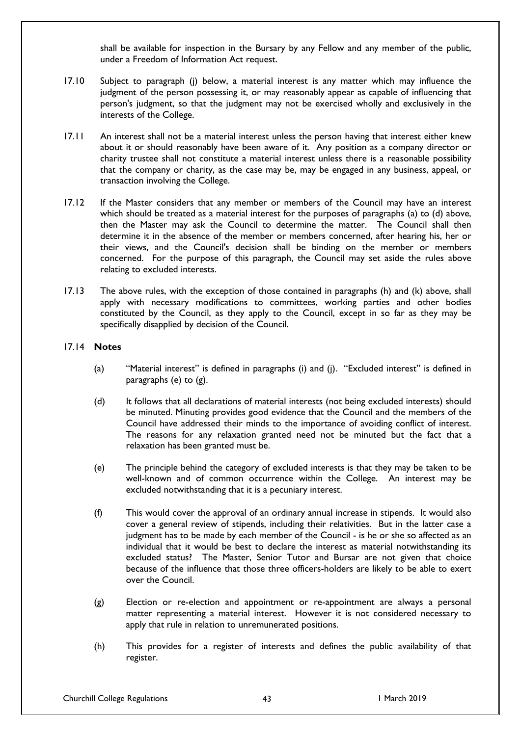shall be available for inspection in the Bursary by any Fellow and any member of the public, under a Freedom of Information Act request.

- 17.10 Subject to paragraph (j) below, a material interest is any matter which may influence the judgment of the person possessing it, or may reasonably appear as capable of influencing that person's judgment, so that the judgment may not be exercised wholly and exclusively in the interests of the College.
- 17.11 An interest shall not be a material interest unless the person having that interest either knew about it or should reasonably have been aware of it. Any position as a company director or charity trustee shall not constitute a material interest unless there is a reasonable possibility that the company or charity, as the case may be, may be engaged in any business, appeal, or transaction involving the College.
- 17.12 If the Master considers that any member or members of the Council may have an interest which should be treated as a material interest for the purposes of paragraphs (a) to (d) above, then the Master may ask the Council to determine the matter. The Council shall then determine it in the absence of the member or members concerned, after hearing his, her or their views, and the Council's decision shall be binding on the member or members concerned. For the purpose of this paragraph, the Council may set aside the rules above relating to excluded interests.
- 17.13 The above rules, with the exception of those contained in paragraphs (h) and (k) above, shall apply with necessary modifications to committees, working parties and other bodies constituted by the Council, as they apply to the Council, except in so far as they may be specifically disapplied by decision of the Council.

## 17.14 **Notes**

- (a) "Material interest" is defined in paragraphs (i) and (j). "Excluded interest" is defined in paragraphs (e) to (g).
- (d) It follows that all declarations of material interests (not being excluded interests) should be minuted. Minuting provides good evidence that the Council and the members of the Council have addressed their minds to the importance of avoiding conflict of interest. The reasons for any relaxation granted need not be minuted but the fact that a relaxation has been granted must be.
- (e) The principle behind the category of excluded interests is that they may be taken to be well-known and of common occurrence within the College. An interest may be excluded notwithstanding that it is a pecuniary interest.
- (f) This would cover the approval of an ordinary annual increase in stipends. It would also cover a general review of stipends, including their relativities. But in the latter case a judgment has to be made by each member of the Council - is he or she so affected as an individual that it would be best to declare the interest as material notwithstanding its excluded status? The Master, Senior Tutor and Bursar are not given that choice because of the influence that those three officers-holders are likely to be able to exert over the Council.
- (g) Election or re-election and appointment or re-appointment are always a personal matter representing a material interest. However it is not considered necessary to apply that rule in relation to unremunerated positions.
- (h) This provides for a register of interests and defines the public availability of that register.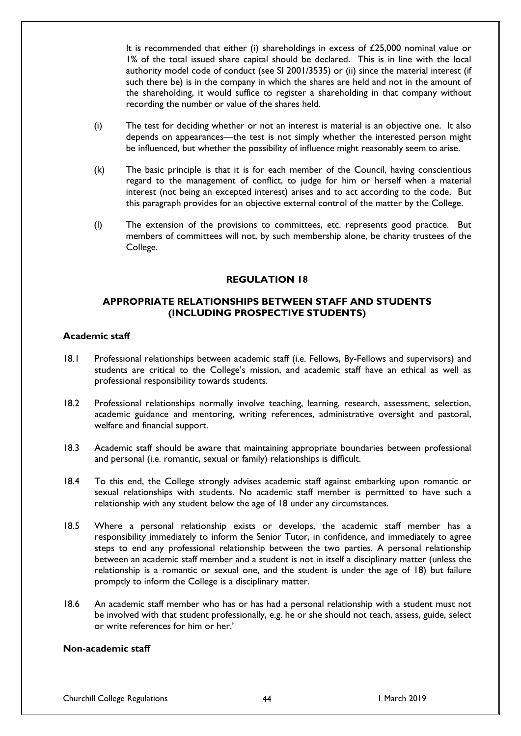It is recommended that either (i) shareholdings in excess of £25,000 nominal value or 1% of the total issued share capital should be declared. This is in line with the local authority model code of conduct (see SI 2001/3535) or (ii) since the material interest (if such there be) is in the company in which the shares are held and not in the amount of the shareholding, it would suffice to register a shareholding in that company without recording the number or value of the shares held.

- (i) The test for deciding whether or not an interest is material is an objective one. It also depends on appearances—the test is not simply whether the interested person might be influenced, but whether the possibility of influence might reasonably seem to arise.
- (k) The basic principle is that it is for each member of the Council, having conscientious regard to the management of conflict, to judge for him or herself when a material interest (not being an excepted interest) arises and to act according to the code. But this paragraph provides for an objective external control of the matter by the College.
- (l) The extension of the provisions to committees, etc. represents good practice. But members of committees will not, by such membership alone, be charity trustees of the College.

# **REGULATION 18**

# **APPROPRIATE RELATIONSHIPS BETWEEN STAFF AND STUDENTS (INCLUDING PROSPECTIVE STUDENTS)**

## **Academic staff**

- 18.1 Professional relationships between academic staff (i.e. Fellows, By-Fellows and supervisors) and students are critical to the College's mission, and academic staff have an ethical as well as professional responsibility towards students.
- 18.2 Professional relationships normally involve teaching, learning, research, assessment, selection, academic guidance and mentoring, writing references, administrative oversight and pastoral, welfare and financial support.
- 18.3 Academic staff should be aware that maintaining appropriate boundaries between professional and personal (i.e. romantic, sexual or family) relationships is difficult.
- 18.4 To this end, the College strongly advises academic staff against embarking upon romantic or sexual relationships with students. No academic staff member is permitted to have such a relationship with any student below the age of 18 under any circumstances.
- 18.5 Where a personal relationship exists or develops, the academic staff member has a responsibility immediately to inform the Senior Tutor, in confidence, and immediately to agree steps to end any professional relationship between the two parties. A personal relationship between an academic staff member and a student is not in itself a disciplinary matter (unless the relationship is a romantic or sexual one, and the student is under the age of 18) but failure promptly to inform the College is a disciplinary matter.
- 18.6 An academic staff member who has or has had a personal relationship with a student must not be involved with that student professionally, e.g. he or she should not teach, assess, guide, select or write references for him or her.'

# **Non-academic staff**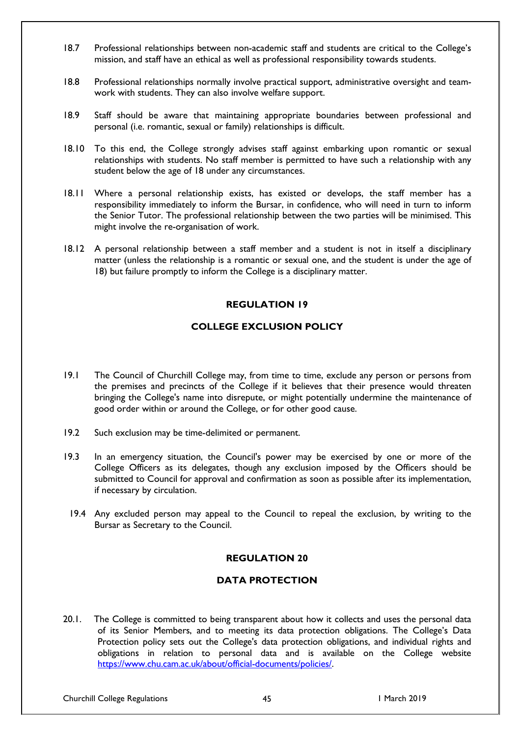- 18.7 Professional relationships between non-academic staff and students are critical to the College's mission, and staff have an ethical as well as professional responsibility towards students.
- 18.8 Professional relationships normally involve practical support, administrative oversight and teamwork with students. They can also involve welfare support.
- 18.9 Staff should be aware that maintaining appropriate boundaries between professional and personal (i.e. romantic, sexual or family) relationships is difficult.
- 18.10 To this end, the College strongly advises staff against embarking upon romantic or sexual relationships with students. No staff member is permitted to have such a relationship with any student below the age of 18 under any circumstances.
- 18.11 Where a personal relationship exists, has existed or develops, the staff member has a responsibility immediately to inform the Bursar, in confidence, who will need in turn to inform the Senior Tutor. The professional relationship between the two parties will be minimised. This might involve the re-organisation of work.
- 18.12 A personal relationship between a staff member and a student is not in itself a disciplinary matter (unless the relationship is a romantic or sexual one, and the student is under the age of 18) but failure promptly to inform the College is a disciplinary matter.

# **REGULATION 19**

# **COLLEGE EXCLUSION POLICY**

- 19.1 The Council of Churchill College may, from time to time, exclude any person or persons from the premises and precincts of the College if it believes that their presence would threaten bringing the College's name into disrepute, or might potentially undermine the maintenance of good order within or around the College, or for other good cause.
- 19.2 Such exclusion may be time-delimited or permanent.
- 19.3 In an emergency situation, the Council's power may be exercised by one or more of the College Officers as its delegates, though any exclusion imposed by the Officers should be submitted to Council for approval and confirmation as soon as possible after its implementation, if necessary by circulation.
- 19.4 Any excluded person may appeal to the Council to repeal the exclusion, by writing to the Bursar as Secretary to the Council.

# **REGULATION 20**

# **DATA PROTECTION**

20.1. The College is committed to being transparent about how it collects and uses the personal data of its Senior Members, and to meeting its data protection obligations. The College's Data Protection policy sets out the College's data protection obligations, and individual rights and obligations in relation to personal data and is available on the College website [https://www.chu.cam.ac.uk/about/official-documents/policies/.](https://www.chu.cam.ac.uk/about/official-documents/policies/)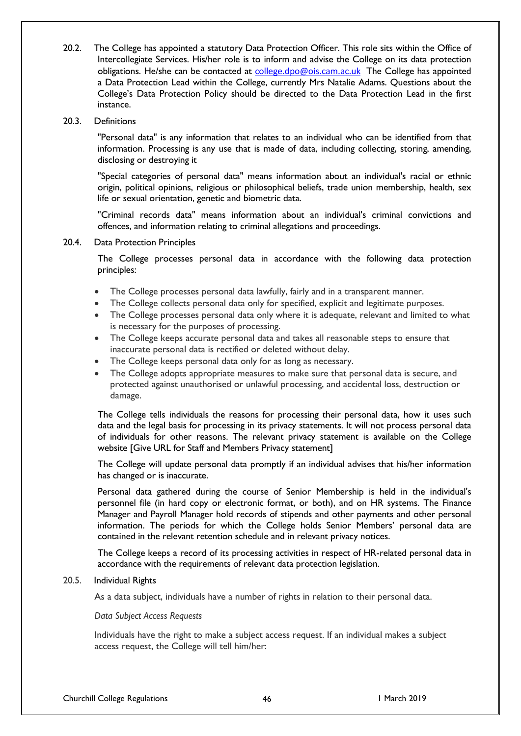- 20.2. The College has appointed a statutory Data Protection Officer. This role sits within the Office of Intercollegiate Services. His/her role is to inform and advise the College on its data protection obligations. He/she can be contacted at [college.dpo@ois.cam.ac.uk](mailto:college.dpo@ois.cam.ac.uk) The College has appointed a Data Protection Lead within the College, currently Mrs Natalie Adams. Questions about the College's Data Protection Policy should be directed to the Data Protection Lead in the first instance.
- 20.3. Definitions

"Personal data" is any information that relates to an individual who can be identified from that information. Processing is any use that is made of data, including collecting, storing, amending, disclosing or destroying it

"Special categories of personal data" means information about an individual's racial or ethnic origin, political opinions, religious or philosophical beliefs, trade union membership, health, sex life or sexual orientation, genetic and biometric data.

"Criminal records data" means information about an individual's criminal convictions and offences, and information relating to criminal allegations and proceedings.

20.4. Data Protection Principles

The College processes personal data in accordance with the following data protection principles:

- The College processes personal data lawfully, fairly and in a transparent manner.
- The College collects personal data only for specified, explicit and legitimate purposes.
- The College processes personal data only where it is adequate, relevant and limited to what is necessary for the purposes of processing.
- The College keeps accurate personal data and takes all reasonable steps to ensure that inaccurate personal data is rectified or deleted without delay.
- The College keeps personal data only for as long as necessary.
- The College adopts appropriate measures to make sure that personal data is secure, and protected against unauthorised or unlawful processing, and accidental loss, destruction or damage.

The College tells individuals the reasons for processing their personal data, how it uses such data and the legal basis for processing in its privacy statements. It will not process personal data of individuals for other reasons. The relevant privacy statement is available on the College website [Give URL for Staff and Members Privacy statement]

The College will update personal data promptly if an individual advises that his/her information has changed or is inaccurate.

Personal data gathered during the course of Senior Membership is held in the individual's personnel file (in hard copy or electronic format, or both), and on HR systems. The Finance Manager and Payroll Manager hold records of stipends and other payments and other personal information. The periods for which the College holds Senior Members' personal data are contained in the relevant retention schedule and in relevant privacy notices.

The College keeps a record of its processing activities in respect of HR-related personal data in accordance with the requirements of relevant data protection legislation.

#### 20.5. Individual Rights

As a data subject, individuals have a number of rights in relation to their personal data.

*Data Subject Access Requests*

Individuals have the right to make a subject access request. If an individual makes a subject access request, the College will tell him/her: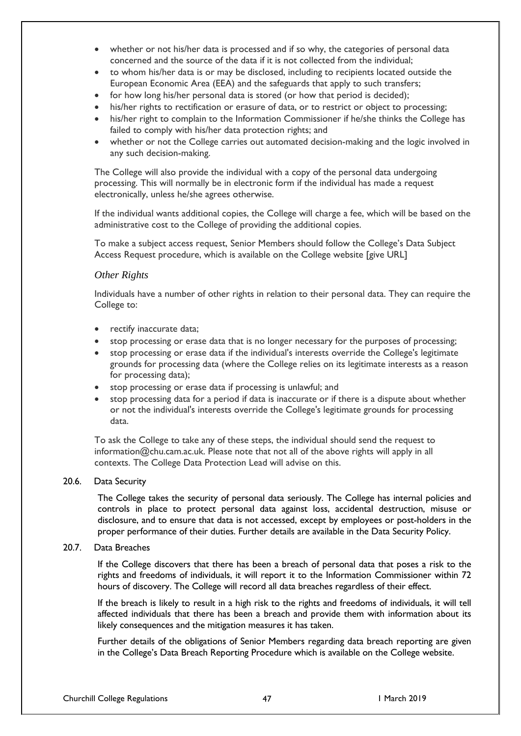- whether or not his/her data is processed and if so why, the categories of personal data concerned and the source of the data if it is not collected from the individual;
- to whom his/her data is or may be disclosed, including to recipients located outside the European Economic Area (EEA) and the safeguards that apply to such transfers;
- for how long his/her personal data is stored (or how that period is decided);
- his/her rights to rectification or erasure of data, or to restrict or object to processing;
- his/her right to complain to the Information Commissioner if he/she thinks the College has failed to comply with his/her data protection rights; and
- whether or not the College carries out automated decision-making and the logic involved in any such decision-making.

The College will also provide the individual with a copy of the personal data undergoing processing. This will normally be in electronic form if the individual has made a request electronically, unless he/she agrees otherwise.

If the individual wants additional copies, the College will charge a fee, which will be based on the administrative cost to the College of providing the additional copies.

To make a subject access request, Senior Members should follow the College's Data Subject Access Request procedure, which is available on the College website [give URL]

#### *Other Rights*

Individuals have a number of other rights in relation to their personal data. They can require the College to:

- rectify inaccurate data;
- stop processing or erase data that is no longer necessary for the purposes of processing;
- stop processing or erase data if the individual's interests override the College's legitimate grounds for processing data (where the College relies on its legitimate interests as a reason for processing data);
- stop processing or erase data if processing is unlawful; and
- stop processing data for a period if data is inaccurate or if there is a dispute about whether or not the individual's interests override the College's legitimate grounds for processing data.

To ask the College to take any of these steps, the individual should send the request to information@chu.cam.ac.uk. Please note that not all of the above rights will apply in all contexts. The College Data Protection Lead will advise on this.

#### 20.6. Data Security

The College takes the security of personal data seriously. The College has internal policies and controls in place to protect personal data against loss, accidental destruction, misuse or disclosure, and to ensure that data is not accessed, except by employees or post-holders in the proper performance of their duties. Further details are available in the Data Security Policy.

#### 20.7. Data Breaches

If the College discovers that there has been a breach of personal data that poses a risk to the rights and freedoms of individuals, it will report it to the Information Commissioner within 72 hours of discovery. The College will record all data breaches regardless of their effect.

If the breach is likely to result in a high risk to the rights and freedoms of individuals, it will tell affected individuals that there has been a breach and provide them with information about its likely consequences and the mitigation measures it has taken.

Further details of the obligations of Senior Members regarding data breach reporting are given in the College's Data Breach Reporting Procedure which is available on the College website.